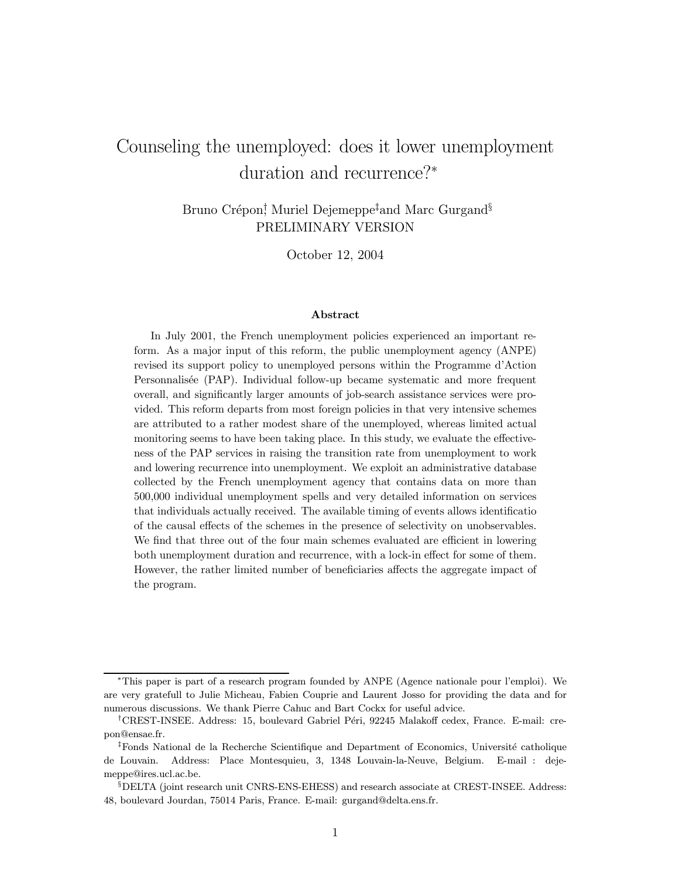# Counseling the unemployed: does it lower unemployment duration and recurrence?<sup>∗</sup>

Bruno Crépon<sup>†</sup> Muriel Dejemeppe<sup>‡</sup>and Marc Gurgand<sup>§</sup> PRELIMINARY VERSION

October 12, 2004

#### Abstract

In July 2001, the French unemployment policies experienced an important reform. As a major input of this reform, the public unemployment agency (ANPE) revised its support policy to unemployed persons within the Programme d'Action Personnalisée (PAP). Individual follow-up became systematic and more frequent overall, and significantly larger amounts of job-search assistance services were provided. This reform departs from most foreign policies in that very intensive schemes are attributed to a rather modest share of the unemployed, whereas limited actual monitoring seems to have been taking place. In this study, we evaluate the effectiveness of the PAP services in raising the transition rate from unemployment to work and lowering recurrence into unemployment. We exploit an administrative database collected by the French unemployment agency that contains data on more than 500,000 individual unemployment spells and very detailed information on services that individuals actually received. The available timing of events allows identificatio of the causal effects of the schemes in the presence of selectivity on unobservables. We find that three out of the four main schemes evaluated are efficient in lowering both unemployment duration and recurrence, with a lock-in effect for some of them. However, the rather limited number of beneficiaries affects the aggregate impact of the program.

<sup>∗</sup>This paper is part of a research program founded by ANPE (Agence nationale pour l'emploi). We are very gratefull to Julie Micheau, Fabien Couprie and Laurent Josso for providing the data and for numerous discussions. We thank Pierre Cahuc and Bart Cockx for useful advice.

<sup>&</sup>lt;sup>†</sup>CREST-INSEE. Address: 15, boulevard Gabriel Péri, 92245 Malakoff cedex, France. E-mail: crepon@ensae.fr.

<sup>&</sup>lt;sup>‡</sup>Fonds National de la Recherche Scientifique and Department of Economics, Université catholique de Louvain. Address: Place Montesquieu, 3, 1348 Louvain-la-Neuve, Belgium. E-mail : dejemeppe@ires.ucl.ac.be.

<sup>§</sup>DELTA (joint research unit CNRS-ENS-EHESS) and research associate at CREST-INSEE. Address: 48, boulevard Jourdan, 75014 Paris, France. E-mail: gurgand@delta.ens.fr.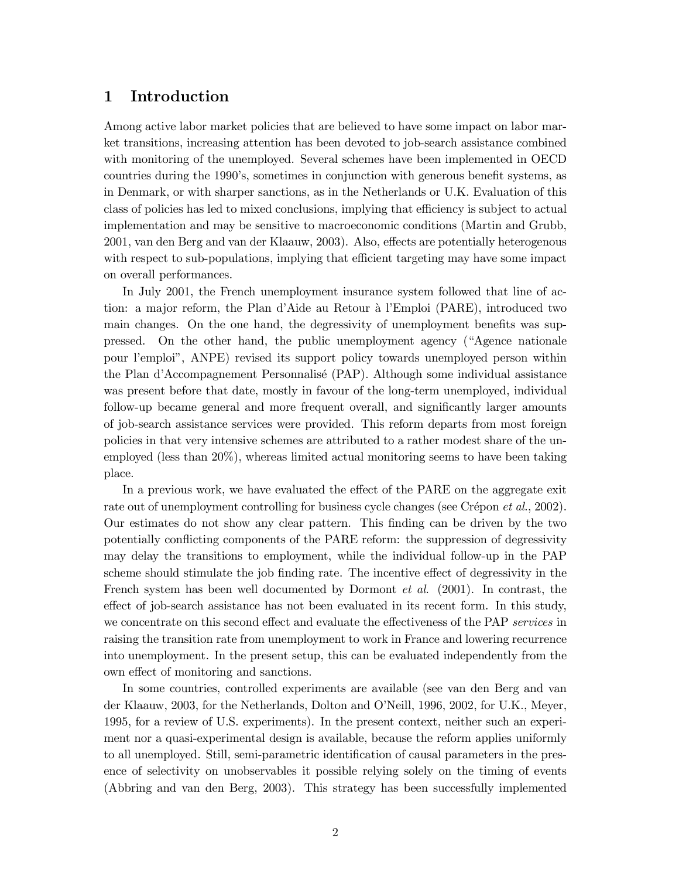# 1 Introduction

Among active labor market policies that are believed to have some impact on labor market transitions, increasing attention has been devoted to job-search assistance combined with monitoring of the unemployed. Several schemes have been implemented in OECD countries during the 1990's, sometimes in conjunction with generous benefit systems, as in Denmark, or with sharper sanctions, as in the Netherlands or U.K. Evaluation of this class of policies has led to mixed conclusions, implying that efficiency is subject to actual implementation and may be sensitive to macroeconomic conditions (Martin and Grubb, 2001, van den Berg and van der Klaauw, 2003). Also, effects are potentially heterogenous with respect to sub-populations, implying that efficient targeting may have some impact on overall performances.

In July 2001, the French unemployment insurance system followed that line of action: a major reform, the Plan d'Aide au Retour à l'Emploi (PARE), introduced two main changes. On the one hand, the degressivity of unemployment benefits was suppressed. On the other hand, the public unemployment agency ("Agence nationale pour l'emploi", ANPE) revised its support policy towards unemployed person within the Plan d'Accompagnement Personnalis´e (PAP). Although some individual assistance was present before that date, mostly in favour of the long-term unemployed, individual follow-up became general and more frequent overall, and significantly larger amounts of job-search assistance services were provided. This reform departs from most foreign policies in that very intensive schemes are attributed to a rather modest share of the unemployed (less than 20%), whereas limited actual monitoring seems to have been taking place.

In a previous work, we have evaluated the effect of the PARE on the aggregate exit rate out of unemployment controlling for business cycle changes (see Crépon *et al.*, 2002). Our estimates do not show any clear pattern. This finding can be driven by the two potentially conflicting components of the PARE reform: the suppression of degressivity may delay the transitions to employment, while the individual follow-up in the PAP scheme should stimulate the job finding rate. The incentive effect of degressivity in the French system has been well documented by Dormont et al. (2001). In contrast, the effect of job-search assistance has not been evaluated in its recent form. In this study, we concentrate on this second effect and evaluate the effectiveness of the PAP services in raising the transition rate from unemployment to work in France and lowering recurrence into unemployment. In the present setup, this can be evaluated independently from the own effect of monitoring and sanctions.

In some countries, controlled experiments are available (see van den Berg and van der Klaauw, 2003, for the Netherlands, Dolton and O'Neill, 1996, 2002, for U.K., Meyer, 1995, for a review of U.S. experiments). In the present context, neither such an experiment nor a quasi-experimental design is available, because the reform applies uniformly to all unemployed. Still, semi-parametric identification of causal parameters in the presence of selectivity on unobservables it possible relying solely on the timing of events (Abbring and van den Berg, 2003). This strategy has been successfully implemented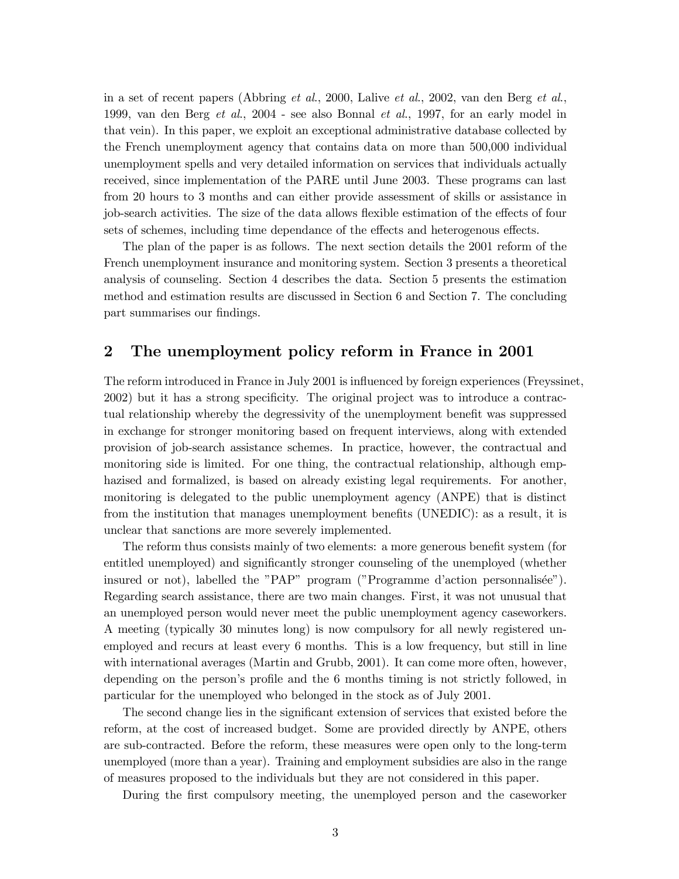in a set of recent papers (Abbring et al., 2000, Lalive et al., 2002, van den Berg et al., 1999, van den Berg et al., 2004 - see also Bonnal et al., 1997, for an early model in that vein). In this paper, we exploit an exceptional administrative database collected by the French unemployment agency that contains data on more than 500,000 individual unemployment spells and very detailed information on services that individuals actually received, since implementation of the PARE until June 2003. These programs can last from 20 hours to 3 months and can either provide assessment of skills or assistance in job-search activities. The size of the data allows flexible estimation of the effects of four sets of schemes, including time dependance of the effects and heterogenous effects.

The plan of the paper is as follows. The next section details the 2001 reform of the French unemployment insurance and monitoring system. Section 3 presents a theoretical analysis of counseling. Section 4 describes the data. Section 5 presents the estimation method and estimation results are discussed in Section 6 and Section 7. The concluding part summarises our findings.

# 2 The unemployment policy reform in France in 2001

The reform introduced in France in July 2001 is influenced by foreign experiences (Freyssinet, 2002) but it has a strong specificity. The original project was to introduce a contractual relationship whereby the degressivity of the unemployment benefit was suppressed in exchange for stronger monitoring based on frequent interviews, along with extended provision of job-search assistance schemes. In practice, however, the contractual and monitoring side is limited. For one thing, the contractual relationship, although emphazised and formalized, is based on already existing legal requirements. For another, monitoring is delegated to the public unemployment agency (ANPE) that is distinct from the institution that manages unemployment benefits (UNEDIC): as a result, it is unclear that sanctions are more severely implemented.

The reform thus consists mainly of two elements: a more generous benefit system (for entitled unemployed) and significantly stronger counseling of the unemployed (whether insured or not), labelled the "PAP" program ("Programme d'action personnalisée"). Regarding search assistance, there are two main changes. First, it was not unusual that an unemployed person would never meet the public unemployment agency caseworkers. A meeting (typically 30 minutes long) is now compulsory for all newly registered unemployed and recurs at least every 6 months. This is a low frequency, but still in line with international averages (Martin and Grubb, 2001). It can come more often, however, depending on the person's profile and the 6 months timing is not strictly followed, in particular for the unemployed who belonged in the stock as of July 2001.

The second change lies in the significant extension of services that existed before the reform, at the cost of increased budget. Some are provided directly by ANPE, others are sub-contracted. Before the reform, these measures were open only to the long-term unemployed (more than a year). Training and employment subsidies are also in the range of measures proposed to the individuals but they are not considered in this paper.

During the first compulsory meeting, the unemployed person and the caseworker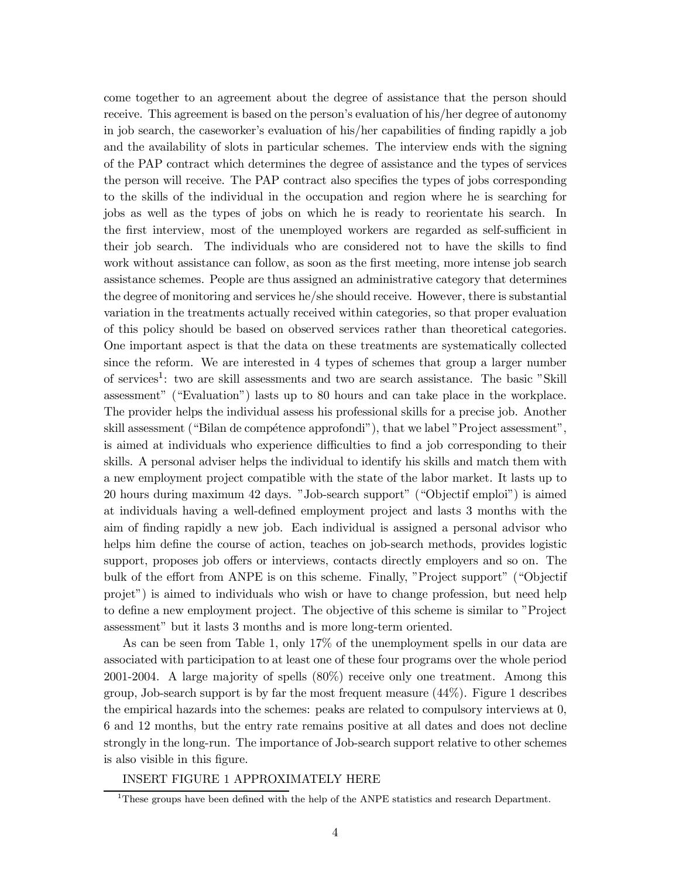come together to an agreement about the degree of assistance that the person should receive. This agreement is based on the person's evaluation of his/her degree of autonomy in job search, the caseworker's evaluation of his/her capabilities of finding rapidly a job and the availability of slots in particular schemes. The interview ends with the signing of the PAP contract which determines the degree of assistance and the types of services the person will receive. The PAP contract also specifies the types of jobs corresponding to the skills of the individual in the occupation and region where he is searching for jobs as well as the types of jobs on which he is ready to reorientate his search. In the first interview, most of the unemployed workers are regarded as self-sufficient in their job search. The individuals who are considered not to have the skills to find work without assistance can follow, as soon as the first meeting, more intense job search assistance schemes. People are thus assigned an administrative category that determines the degree of monitoring and services he/she should receive. However, there is substantial variation in the treatments actually received within categories, so that proper evaluation of this policy should be based on observed services rather than theoretical categories. One important aspect is that the data on these treatments are systematically collected since the reform. We are interested in 4 types of schemes that group a larger number of services<sup>1</sup>: two are skill assessments and two are search assistance. The basic "Skill assessment" ("Evaluation") lasts up to 80 hours and can take place in the workplace. The provider helps the individual assess his professional skills for a precise job. Another skill assessment ("Bilan de compétence approfondi"), that we label "Project assessment", is aimed at individuals who experience difficulties to find a job corresponding to their skills. A personal adviser helps the individual to identify his skills and match them with a new employment project compatible with the state of the labor market. It lasts up to 20 hours during maximum 42 days. "Job-search support" ("Objectif emploi") is aimed at individuals having a well-defined employment project and lasts 3 months with the aim of finding rapidly a new job. Each individual is assigned a personal advisor who helps him define the course of action, teaches on job-search methods, provides logistic support, proposes job offers or interviews, contacts directly employers and so on. The bulk of the effort from ANPE is on this scheme. Finally, "Project support" ("Objectif projet") is aimed to individuals who wish or have to change profession, but need help to define a new employment project. The objective of this scheme is similar to "Project assessment" but it lasts 3 months and is more long-term oriented.

As can be seen from Table 1, only 17% of the unemployment spells in our data are associated with participation to at least one of these four programs over the whole period 2001-2004. A large majority of spells (80%) receive only one treatment. Among this group, Job-search support is by far the most frequent measure (44%). Figure 1 describes the empirical hazards into the schemes: peaks are related to compulsory interviews at 0, 6 and 12 months, but the entry rate remains positive at all dates and does not decline strongly in the long-run. The importance of Job-search support relative to other schemes is also visible in this figure.

### INSERT FIGURE 1 APPROXIMATELY HERE

<sup>&</sup>lt;sup>1</sup>These groups have been defined with the help of the ANPE statistics and research Department.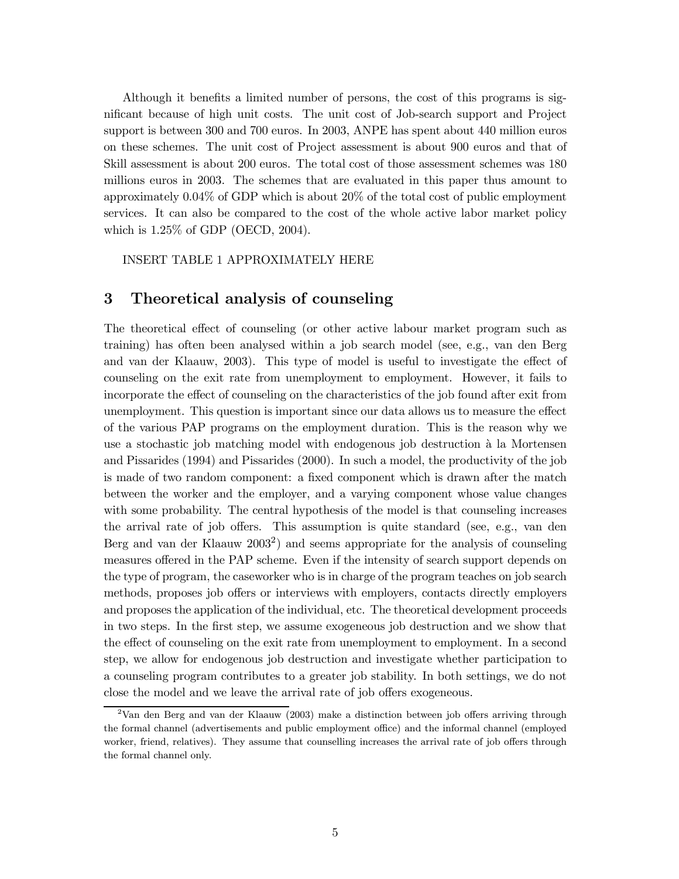Although it benefits a limited number of persons, the cost of this programs is significant because of high unit costs. The unit cost of Job-search support and Project support is between 300 and 700 euros. In 2003, ANPE has spent about 440 million euros on these schemes. The unit cost of Project assessment is about 900 euros and that of Skill assessment is about 200 euros. The total cost of those assessment schemes was 180 millions euros in 2003. The schemes that are evaluated in this paper thus amount to approximately 0.04% of GDP which is about 20% of the total cost of public employment services. It can also be compared to the cost of the whole active labor market policy which is 1.25% of GDP (OECD, 2004).

INSERT TABLE 1 APPROXIMATELY HERE

# 3 Theoretical analysis of counseling

The theoretical effect of counseling (or other active labour market program such as training) has often been analysed within a job search model (see, e.g., van den Berg and van der Klaauw, 2003). This type of model is useful to investigate the effect of counseling on the exit rate from unemployment to employment. However, it fails to incorporate the effect of counseling on the characteristics of the job found after exit from unemployment. This question is important since our data allows us to measure the effect of the various PAP programs on the employment duration. This is the reason why we use a stochastic job matching model with endogenous job destruction `a la Mortensen and Pissarides (1994) and Pissarides (2000). In such a model, the productivity of the job is made of two random component: a fixed component which is drawn after the match between the worker and the employer, and a varying component whose value changes with some probability. The central hypothesis of the model is that counseling increases the arrival rate of job offers. This assumption is quite standard (see, e.g., van den Berg and van der Klaauw 2003<sup>2</sup> ) and seems appropriate for the analysis of counseling measures offered in the PAP scheme. Even if the intensity of search support depends on the type of program, the caseworker who is in charge of the program teaches on job search methods, proposes job offers or interviews with employers, contacts directly employers and proposes the application of the individual, etc. The theoretical development proceeds in two steps. In the first step, we assume exogeneous job destruction and we show that the effect of counseling on the exit rate from unemployment to employment. In a second step, we allow for endogenous job destruction and investigate whether participation to a counseling program contributes to a greater job stability. In both settings, we do not close the model and we leave the arrival rate of job offers exogeneous.

 $2$ Van den Berg and van der Klaauw (2003) make a distinction between job offers arriving through the formal channel (advertisements and public employment office) and the informal channel (employed worker, friend, relatives). They assume that counselling increases the arrival rate of job offers through the formal channel only.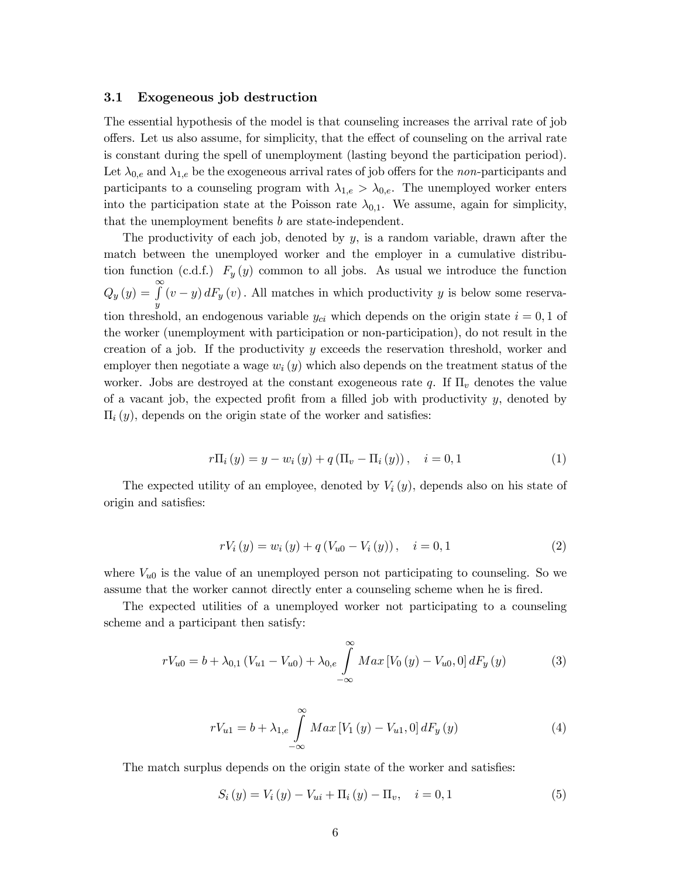## 3.1 Exogeneous job destruction

The essential hypothesis of the model is that counseling increases the arrival rate of job offers. Let us also assume, for simplicity, that the effect of counseling on the arrival rate is constant during the spell of unemployment (lasting beyond the participation period). Let  $\lambda_{0,e}$  and  $\lambda_{1,e}$  be the exogeneous arrival rates of job offers for the non-participants and participants to a counseling program with  $\lambda_{1,e} > \lambda_{0,e}$ . The unemployed worker enters into the participation state at the Poisson rate  $\lambda_{0,1}$ . We assume, again for simplicity, that the unemployment benefits b are state-independent.

The productivity of each job, denoted by  $y$ , is a random variable, drawn after the match between the unemployed worker and the employer in a cumulative distribution function (c.d.f.)  $F_y(y)$  common to all jobs. As usual we introduce the function  $Q_y(y) = \int_0^{\infty}$  $\overline{y}$  $(v - y) dF_y(v)$ . All matches in which productivity y is below some reservation threshold, an endogenous variable  $y_{ci}$  which depends on the origin state  $i = 0, 1$  of the worker (unemployment with participation or non-participation), do not result in the creation of a job. If the productivity  $y$  exceeds the reservation threshold, worker and employer then negotiate a wage  $w_i(y)$  which also depends on the treatment status of the worker. Jobs are destroyed at the constant exogeneous rate  $q$ . If  $\Pi_v$  denotes the value of a vacant job, the expected profit from a filled job with productivity  $y$ , denoted by  $\Pi_i(y)$ , depends on the origin state of the worker and satisfies:

$$
r\Pi_{i}(y) = y - w_{i}(y) + q(\Pi_{v} - \Pi_{i}(y)), \quad i = 0, 1
$$
 (1)

The expected utility of an employee, denoted by  $V_i(y)$ , depends also on his state of origin and satisfies:

$$
rV_i(y) = w_i(y) + q(V_{u0} - V_i(y)), \quad i = 0, 1
$$
\n(2)

where  $V_{u0}$  is the value of an unemployed person not participating to counseling. So we assume that the worker cannot directly enter a counseling scheme when he is fired.

The expected utilities of a unemployed worker not participating to a counseling scheme and a participant then satisfy:

$$
rV_{u0} = b + \lambda_{0,1} (V_{u1} - V_{u0}) + \lambda_{0,e} \int_{-\infty}^{\infty} Max \left[V_0(y) - V_{u0}, 0\right] dF_y(y) \tag{3}
$$

$$
rV_{u1} = b + \lambda_{1,e} \int_{-\infty}^{\infty} Max \left[ V_1(y) - V_{u1}, 0 \right] dF_y(y)
$$
 (4)

The match surplus depends on the origin state of the worker and satisfies:

 $S_i(y) = V_i(y) - V_{ui} + \Pi_i(y) - \Pi_v, \quad i = 0, 1$  (5)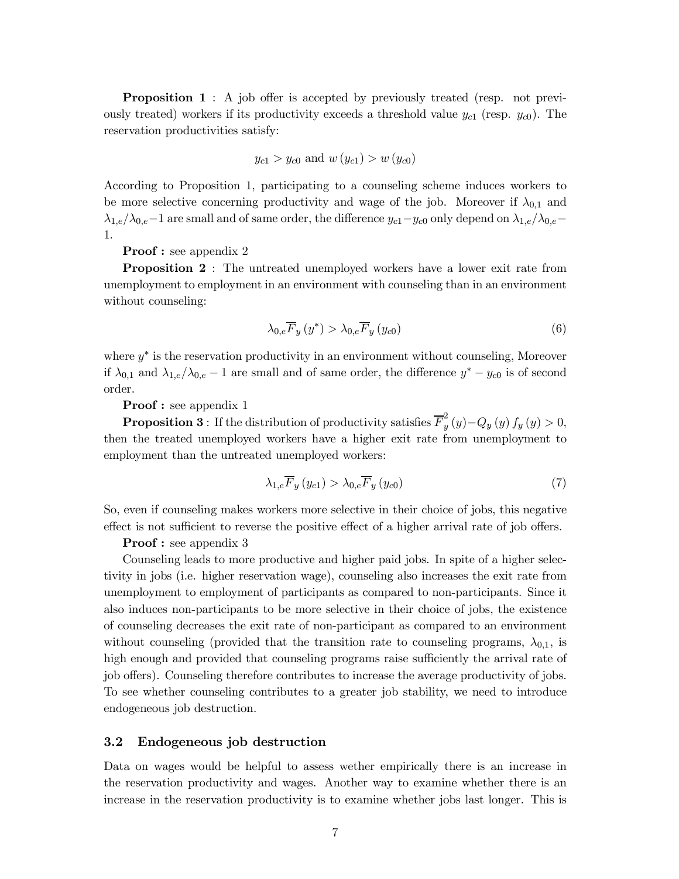**Proposition 1** : A job offer is accepted by previously treated (resp. not previously treated) workers if its productivity exceeds a threshold value  $y_{c1}$  (resp.  $y_{c0}$ ). The reservation productivities satisfy:

$$
y_{c1} > y_{c0}
$$
 and  $w(y_{c1}) > w(y_{c0})$ 

According to Proposition 1, participating to a counseling scheme induces workers to be more selective concerning productivity and wage of the job. Moreover if  $\lambda_{0,1}$  and  $\lambda_{1,e}/\lambda_{0,e}-1$  are small and of same order, the difference  $y_{c1}-y_{c0}$  only depend on  $\lambda_{1,e}/\lambda_{0,e}-1$ 1.

Proof : see appendix 2

**Proposition 2** : The untreated unemployed workers have a lower exit rate from unemployment to employment in an environment with counseling than in an environment without counseling:

$$
\lambda_{0,e}\overline{F}_y(y^*) > \lambda_{0,e}\overline{F}_y(y_{c0})
$$
\n(6)

where  $y^*$  is the reservation productivity in an environment without counseling, Moreover if  $\lambda_{0,1}$  and  $\lambda_{1,e}/\lambda_{0,e} - 1$  are small and of same order, the difference  $y^* - y_{c0}$  is of second order.

Proof : see appendix 1

**Proposition 3**: If the distribution of productivity satisfies  $\overline{F}_v^2$  $y(y) - Q_y(y) f_y(y) > 0,$ then the treated unemployed workers have a higher exit rate from unemployment to employment than the untreated unemployed workers:

$$
\lambda_{1,e}\overline{F}_y\left(y_{c1}\right) > \lambda_{0,e}\overline{F}_y\left(y_{c0}\right) \tag{7}
$$

So, even if counseling makes workers more selective in their choice of jobs, this negative effect is not sufficient to reverse the positive effect of a higher arrival rate of job offers.

## Proof : see appendix 3

Counseling leads to more productive and higher paid jobs. In spite of a higher selectivity in jobs (i.e. higher reservation wage), counseling also increases the exit rate from unemployment to employment of participants as compared to non-participants. Since it also induces non-participants to be more selective in their choice of jobs, the existence of counseling decreases the exit rate of non-participant as compared to an environment without counseling (provided that the transition rate to counseling programs,  $\lambda_{0,1}$ , is high enough and provided that counseling programs raise sufficiently the arrival rate of job offers). Counseling therefore contributes to increase the average productivity of jobs. To see whether counseling contributes to a greater job stability, we need to introduce endogeneous job destruction.

## 3.2 Endogeneous job destruction

Data on wages would be helpful to assess wether empirically there is an increase in the reservation productivity and wages. Another way to examine whether there is an increase in the reservation productivity is to examine whether jobs last longer. This is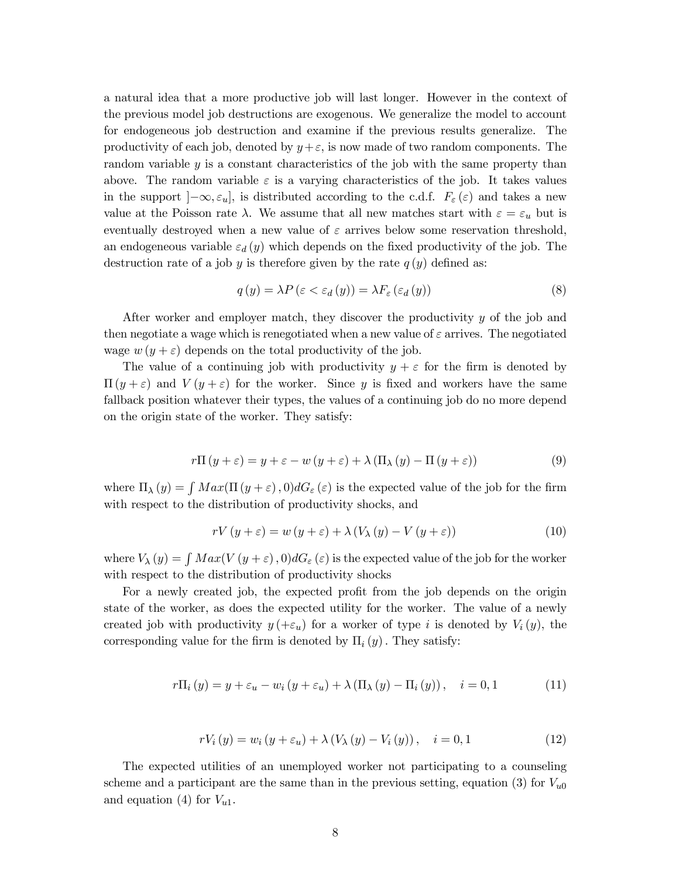a natural idea that a more productive job will last longer. However in the context of the previous model job destructions are exogenous. We generalize the model to account for endogeneous job destruction and examine if the previous results generalize. The productivity of each job, denoted by  $y+\varepsilon$ , is now made of two random components. The random variable  $y$  is a constant characteristics of the job with the same property than above. The random variable  $\varepsilon$  is a varying characteristics of the job. It takes values in the support  $]-\infty, \varepsilon_u]$ , is distributed according to the c.d.f.  $F_{\varepsilon}(\varepsilon)$  and takes a new value at the Poisson rate  $\lambda$ . We assume that all new matches start with  $\varepsilon = \varepsilon_u$  but is eventually destroyed when a new value of  $\varepsilon$  arrives below some reservation threshold, an endogeneous variable  $\varepsilon_d(y)$  which depends on the fixed productivity of the job. The destruction rate of a job y is therefore given by the rate  $q(y)$  defined as:

$$
q(y) = \lambda P \left( \varepsilon < \varepsilon_d \left( y \right) \right) = \lambda F_\varepsilon \left( \varepsilon_d \left( y \right) \right) \tag{8}
$$

After worker and employer match, they discover the productivity y of the job and then negotiate a wage which is renegotiated when a new value of  $\varepsilon$  arrives. The negotiated wage  $w(y + \varepsilon)$  depends on the total productivity of the job.

The value of a continuing job with productivity  $y + \varepsilon$  for the firm is denoted by  $\Pi(y+\varepsilon)$  and  $V(y+\varepsilon)$  for the worker. Since y is fixed and workers have the same fallback position whatever their types, the values of a continuing job do no more depend on the origin state of the worker. They satisfy:

$$
r\Pi(y+\varepsilon) = y + \varepsilon - w(y+\varepsilon) + \lambda (\Pi_{\lambda}(y) - \Pi(y+\varepsilon))
$$
\n(9)

where  $\Pi_{\lambda}(y) = \int Max(\Pi(y+\varepsilon),0)dG_{\varepsilon}(\varepsilon)$  is the expected value of the job for the firm with respect to the distribution of productivity shocks, and

$$
rV(y+\varepsilon) = w(y+\varepsilon) + \lambda (V_{\lambda}(y) - V(y+\varepsilon))
$$
\n(10)

where  $V_{\lambda}(y) = \int Max(V(y+\varepsilon),0)dG_{\varepsilon}(\varepsilon)$  is the expected value of the job for the worker with respect to the distribution of productivity shocks

For a newly created job, the expected profit from the job depends on the origin state of the worker, as does the expected utility for the worker. The value of a newly created job with productivity  $y$  (+ $\varepsilon_u$ ) for a worker of type i is denoted by  $V_i(y)$ , the corresponding value for the firm is denoted by  $\Pi_i(y)$ . They satisfy:

$$
r\Pi_i(y) = y + \varepsilon_u - w_i(y + \varepsilon_u) + \lambda (\Pi_\lambda(y) - \Pi_i(y)), \quad i = 0, 1 \tag{11}
$$

$$
rV_{i}(y) = w_{i}(y + \varepsilon_{u}) + \lambda (V_{\lambda}(y) - V_{i}(y)), \quad i = 0, 1
$$
 (12)

The expected utilities of an unemployed worker not participating to a counseling scheme and a participant are the same than in the previous setting, equation (3) for  $V_{u0}$ and equation (4) for  $V_{u1}$ .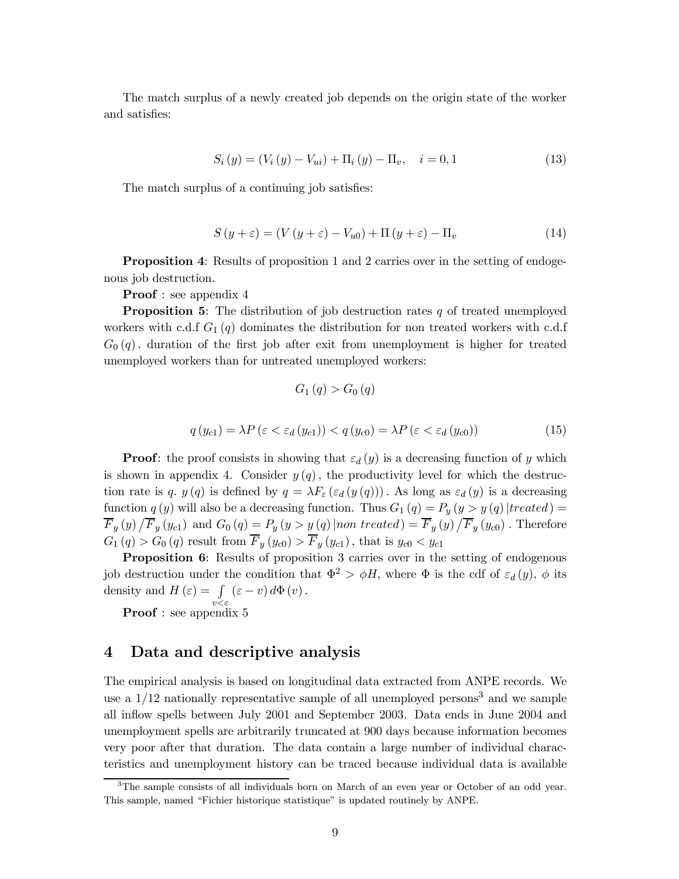The match surplus of a newly created job depends on the origin state of the worker and satisfies:

$$
S_i(y) = (V_i(y) - V_{ui}) + \Pi_i(y) - \Pi_v, \quad i = 0, 1
$$
\n(13)

The match surplus of a continuing job satisfies:

$$
S(y+\varepsilon) = (V(y+\varepsilon) - V_{u0}) + \Pi (y+\varepsilon) - \Pi_v
$$
\n(14)

Proposition 4: Results of proposition 1 and 2 carries over in the setting of endogenous job destruction.

Proof : see appendix 4

**Proposition 5:** The distribution of job destruction rates  $q$  of treated unemployed workers with c.d.f  $G_1(q)$  dominates the distribution for non treated workers with c.d.f  $G_0(q)$ . duration of the first job after exit from unemployment is higher for treated unemployed workers than for untreated unemployed workers:

$$
G_1(q) > G_0(q)
$$
  

$$
q(y_{c1}) = \lambda P(\varepsilon < \varepsilon_d (y_{c1})) < q(y_{c0}) = \lambda P(\varepsilon < \varepsilon_d (y_{c0}))
$$
 (15)

**Proof:** the proof consists in showing that  $\varepsilon_d(y)$  is a decreasing function of y which is shown in appendix 4. Consider  $y(q)$ , the productivity level for which the destruction rate is q.  $y(q)$  is defined by  $q = \lambda F_{\varepsilon}(\varepsilon_d(y(q)))$ . As long as  $\varepsilon_d(y)$  is a decreasing function  $q(y)$  will also be a decreasing function. Thus  $G_1(q) = P_y(y > y(q))$  [treated] =  $\overline{F}_y(y)/\overline{F}_y(y_{c1})$  and  $G_0(q) = P_y(y > y(q) | nontreated) = \overline{F}_y(y)/\overline{F}_y(y_{c0})$ . Therefore  $G_1(q) > G_0(q)$  result from  $\overline{F}_y(y_{c0}) > \overline{F}_y(y_{c1})$ , that is  $y_{c0} < y_{c1}$ 

Proposition 6: Results of proposition 3 carries over in the setting of endogenous job destruction under the condition that  $\Phi^2 > \phi H$ , where  $\Phi$  is the cdf of  $\varepsilon_d(y)$ ,  $\phi$  its density and  $H(\varepsilon) = \int (\varepsilon - v) d\Phi(v)$ .

**Proof** : see appendix 5

# 4 Data and descriptive analysis

The empirical analysis is based on longitudinal data extracted from ANPE records. We use a  $1/12$  nationally representative sample of all unemployed persons<sup>3</sup> and we sample all inflow spells between July 2001 and September 2003. Data ends in June 2004 and unemployment spells are arbitrarily truncated at 900 days because information becomes very poor after that duration. The data contain a large number of individual characteristics and unemployment history can be traced because individual data is available

<sup>&</sup>lt;sup>3</sup>The sample consists of all individuals born on March of an even year or October of an odd year. This sample, named "Fichier historique statistique" is updated routinely by ANPE.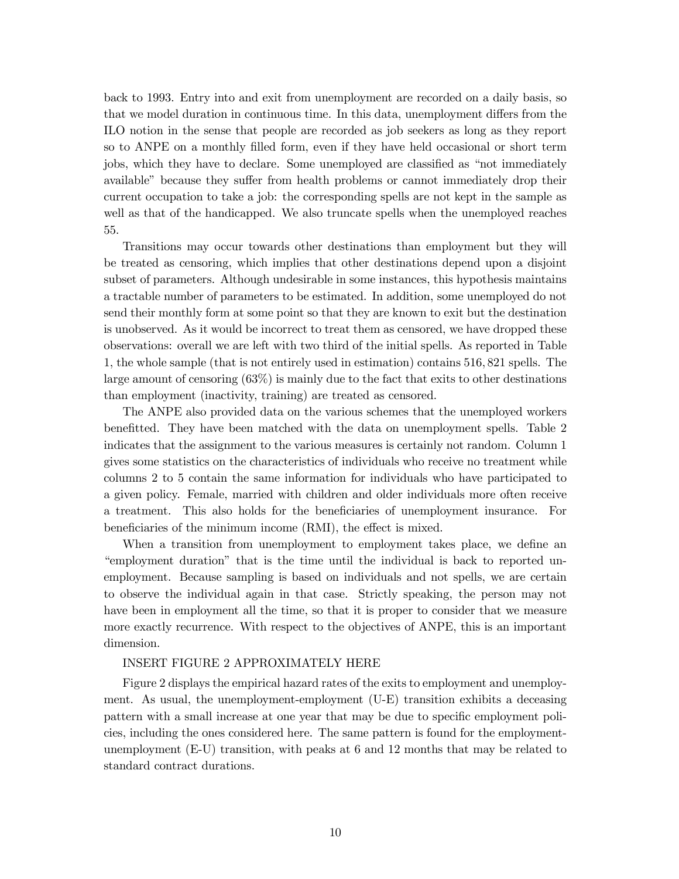back to 1993. Entry into and exit from unemployment are recorded on a daily basis, so that we model duration in continuous time. In this data, unemployment differs from the ILO notion in the sense that people are recorded as job seekers as long as they report so to ANPE on a monthly filled form, even if they have held occasional or short term jobs, which they have to declare. Some unemployed are classified as "not immediately available" because they suffer from health problems or cannot immediately drop their current occupation to take a job: the corresponding spells are not kept in the sample as well as that of the handicapped. We also truncate spells when the unemployed reaches 55.

Transitions may occur towards other destinations than employment but they will be treated as censoring, which implies that other destinations depend upon a disjoint subset of parameters. Although undesirable in some instances, this hypothesis maintains a tractable number of parameters to be estimated. In addition, some unemployed do not send their monthly form at some point so that they are known to exit but the destination is unobserved. As it would be incorrect to treat them as censored, we have dropped these observations: overall we are left with two third of the initial spells. As reported in Table 1, the whole sample (that is not entirely used in estimation) contains 516, 821 spells. The large amount of censoring (63%) is mainly due to the fact that exits to other destinations than employment (inactivity, training) are treated as censored.

The ANPE also provided data on the various schemes that the unemployed workers benefitted. They have been matched with the data on unemployment spells. Table 2 indicates that the assignment to the various measures is certainly not random. Column 1 gives some statistics on the characteristics of individuals who receive no treatment while columns 2 to 5 contain the same information for individuals who have participated to a given policy. Female, married with children and older individuals more often receive a treatment. This also holds for the beneficiaries of unemployment insurance. For beneficiaries of the minimum income (RMI), the effect is mixed.

When a transition from unemployment to employment takes place, we define an "employment duration" that is the time until the individual is back to reported unemployment. Because sampling is based on individuals and not spells, we are certain to observe the individual again in that case. Strictly speaking, the person may not have been in employment all the time, so that it is proper to consider that we measure more exactly recurrence. With respect to the objectives of ANPE, this is an important dimension.

#### INSERT FIGURE 2 APPROXIMATELY HERE

Figure 2 displays the empirical hazard rates of the exits to employment and unemployment. As usual, the unemployment-employment (U-E) transition exhibits a deceasing pattern with a small increase at one year that may be due to specific employment policies, including the ones considered here. The same pattern is found for the employmentunemployment (E-U) transition, with peaks at 6 and 12 months that may be related to standard contract durations.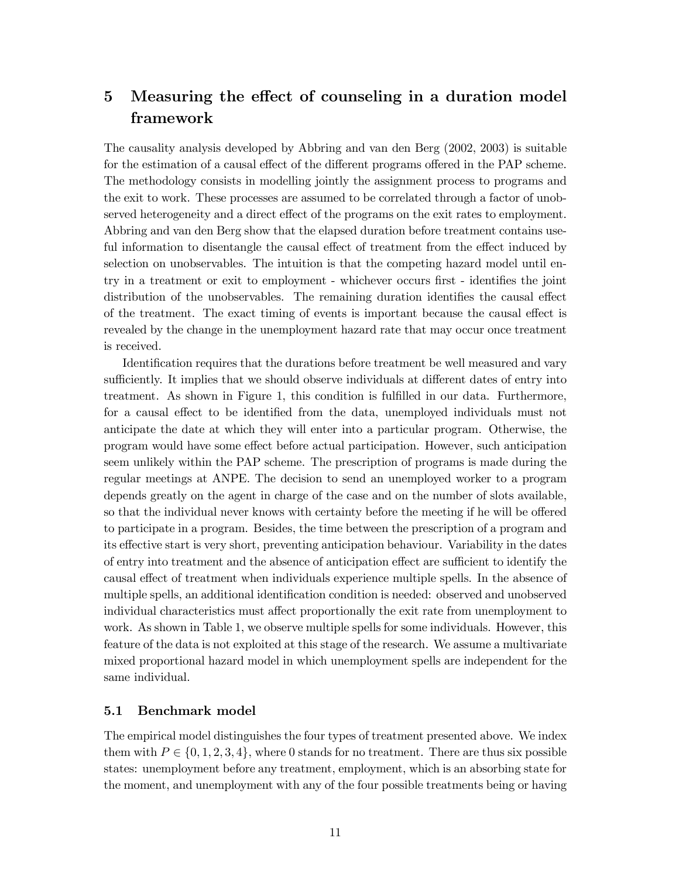# 5 Measuring the effect of counseling in a duration model framework

The causality analysis developed by Abbring and van den Berg (2002, 2003) is suitable for the estimation of a causal effect of the different programs offered in the PAP scheme. The methodology consists in modelling jointly the assignment process to programs and the exit to work. These processes are assumed to be correlated through a factor of unobserved heterogeneity and a direct effect of the programs on the exit rates to employment. Abbring and van den Berg show that the elapsed duration before treatment contains useful information to disentangle the causal effect of treatment from the effect induced by selection on unobservables. The intuition is that the competing hazard model until entry in a treatment or exit to employment - whichever occurs first - identifies the joint distribution of the unobservables. The remaining duration identifies the causal effect of the treatment. The exact timing of events is important because the causal effect is revealed by the change in the unemployment hazard rate that may occur once treatment is received.

Identification requires that the durations before treatment be well measured and vary sufficiently. It implies that we should observe individuals at different dates of entry into treatment. As shown in Figure 1, this condition is fulfilled in our data. Furthermore, for a causal effect to be identified from the data, unemployed individuals must not anticipate the date at which they will enter into a particular program. Otherwise, the program would have some effect before actual participation. However, such anticipation seem unlikely within the PAP scheme. The prescription of programs is made during the regular meetings at ANPE. The decision to send an unemployed worker to a program depends greatly on the agent in charge of the case and on the number of slots available, so that the individual never knows with certainty before the meeting if he will be offered to participate in a program. Besides, the time between the prescription of a program and its effective start is very short, preventing anticipation behaviour. Variability in the dates of entry into treatment and the absence of anticipation effect are sufficient to identify the causal effect of treatment when individuals experience multiple spells. In the absence of multiple spells, an additional identification condition is needed: observed and unobserved individual characteristics must affect proportionally the exit rate from unemployment to work. As shown in Table 1, we observe multiple spells for some individuals. However, this feature of the data is not exploited at this stage of the research. We assume a multivariate mixed proportional hazard model in which unemployment spells are independent for the same individual.

# 5.1 Benchmark model

The empirical model distinguishes the four types of treatment presented above. We index them with  $P \in \{0, 1, 2, 3, 4\}$ , where 0 stands for no treatment. There are thus six possible states: unemployment before any treatment, employment, which is an absorbing state for the moment, and unemployment with any of the four possible treatments being or having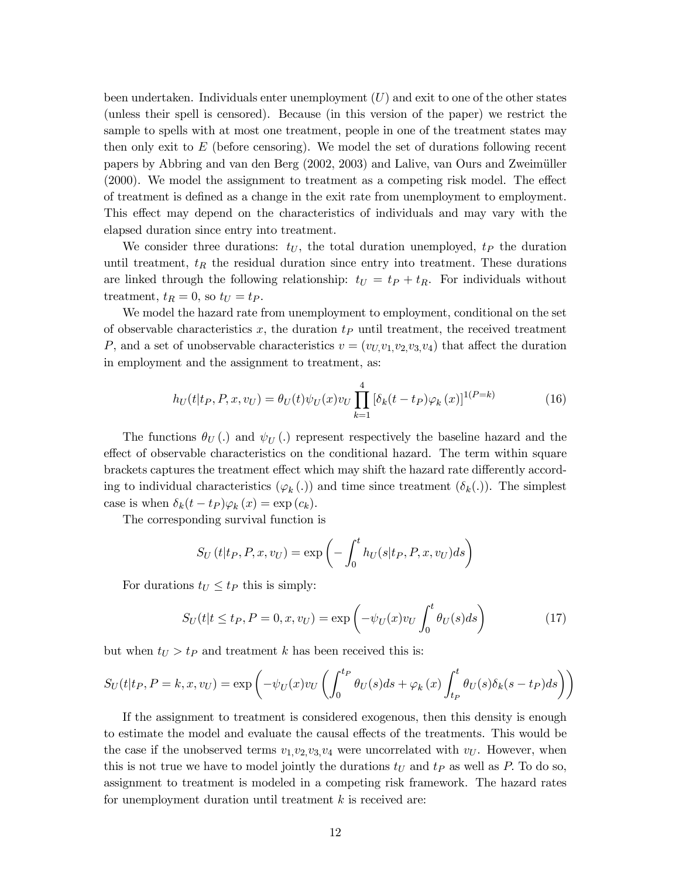been undertaken. Individuals enter unemployment  $(U)$  and exit to one of the other states (unless their spell is censored). Because (in this version of the paper) we restrict the sample to spells with at most one treatment, people in one of the treatment states may then only exit to  $E$  (before censoring). We model the set of durations following recent papers by Abbring and van den Berg (2002, 2003) and Lalive, van Ours and Zweimüller (2000). We model the assignment to treatment as a competing risk model. The effect of treatment is defined as a change in the exit rate from unemployment to employment. This effect may depend on the characteristics of individuals and may vary with the elapsed duration since entry into treatment.

We consider three durations:  $t_U$ , the total duration unemployed,  $t_P$  the duration until treatment,  $t_R$  the residual duration since entry into treatment. These durations are linked through the following relationship:  $t_U = t_P + t_R$ . For individuals without treatment,  $t_R = 0$ , so  $t_U = t_P$ .

We model the hazard rate from unemployment to employment, conditional on the set of observable characteristics  $x$ , the duration  $t_P$  until treatment, the received treatment P, and a set of unobservable characteristics  $v = (v_U, v_1, v_2, v_3, v_4)$  that affect the duration in employment and the assignment to treatment, as:

$$
h_U(t|t_P, P, x, v_U) = \theta_U(t)\psi_U(x)v_U \prod_{k=1}^4 \left[\delta_k(t - t_P)\varphi_k(x)\right]^{1(P = k)}
$$
(16)

The functions  $\theta_U(.)$  and  $\psi_U(.)$  represent respectively the baseline hazard and the effect of observable characteristics on the conditional hazard. The term within square brackets captures the treatment effect which may shift the hazard rate differently according to individual characteristics  $(\varphi_k(.))$  and time since treatment  $(\delta_k(.))$ . The simplest case is when  $\delta_k(t - t_P)\varphi_k(x) = \exp(c_k)$ .

The corresponding survival function is

$$
S_U(t|t_P, P, x, v_U) = \exp\left(-\int_0^t h_U(s|t_P, P, x, v_U)ds\right)
$$

For durations  $t_U \leq t_P$  this is simply:

$$
S_U(t|t \le t_P, P = 0, x, v_U) = \exp\left(-\psi_U(x)v_U \int_0^t \theta_U(s)ds\right)
$$
 (17)

but when  $t_U > t_P$  and treatment k has been received this is:

$$
S_U(t|t_P, P = k, x, v_U) = \exp\left(-\psi_U(x)v_U\left(\int_0^{t_P} \theta_U(s)ds + \varphi_k(x)\int_{t_P}^t \theta_U(s)\delta_k(s - t_P)ds\right)\right)
$$

If the assignment to treatment is considered exogenous, then this density is enough to estimate the model and evaluate the causal effects of the treatments. This would be the case if the unobserved terms  $v_1, v_2, v_3, v_4$  were uncorrelated with  $v_U$ . However, when this is not true we have to model jointly the durations  $t_U$  and  $t_P$  as well as P. To do so, assignment to treatment is modeled in a competing risk framework. The hazard rates for unemployment duration until treatment  $k$  is received are: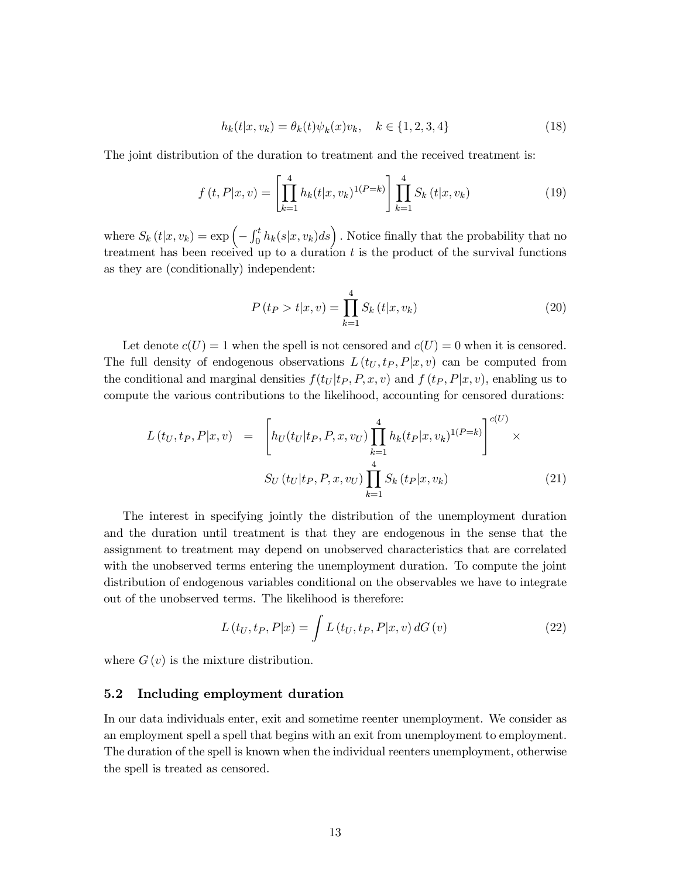$$
h_k(t|x, v_k) = \theta_k(t)\psi_k(x)v_k, \quad k \in \{1, 2, 3, 4\}
$$
\n(18)

The joint distribution of the duration to treatment and the received treatment is:

$$
f(t, P|x, v) = \left[\prod_{k=1}^{4} h_k(t|x, v_k)^{1(P=k)}\right] \prod_{k=1}^{4} S_k(t|x, v_k)
$$
(19)

where  $S_k(t|x,v_k) = \exp\left(-\int_0^t h_k(s|x,v_k)ds\right)$ . Notice finally that the probability that no treatment has been received up to a duration  $t$  is the product of the survival functions as they are (conditionally) independent:

$$
P(t_P > t | x, v) = \prod_{k=1}^{4} S_k(t | x, v_k)
$$
\n(20)

Let denote  $c(U) = 1$  when the spell is not censored and  $c(U) = 0$  when it is censored. The full density of endogenous observations  $L(t_U, t_P, P|x, v)$  can be computed from the conditional and marginal densities  $f(t_U | t_P, P, x, v)$  and  $f(t_P, P | x, v)$ , enabling us to compute the various contributions to the likelihood, accounting for censored durations:

$$
L(t_U, t_P, P|x, v) = \left[ h_U(t_U | t_P, P, x, v_U) \prod_{k=1}^4 h_k(t_P | x, v_k)^{1(P=k)} \right]^{c(U)} \times
$$
  

$$
S_U(t_U | t_P, P, x, v_U) \prod_{k=1}^4 S_k(t_P | x, v_k)
$$
(21)

The interest in specifying jointly the distribution of the unemployment duration and the duration until treatment is that they are endogenous in the sense that the assignment to treatment may depend on unobserved characteristics that are correlated with the unobserved terms entering the unemployment duration. To compute the joint distribution of endogenous variables conditional on the observables we have to integrate out of the unobserved terms. The likelihood is therefore:

$$
L\left(t_U, t_P, P|x\right) = \int L\left(t_U, t_P, P|x, v\right) dG\left(v\right) \tag{22}
$$

where  $G(v)$  is the mixture distribution.

### 5.2 Including employment duration

In our data individuals enter, exit and sometime reenter unemployment. We consider as an employment spell a spell that begins with an exit from unemployment to employment. The duration of the spell is known when the individual reenters unemployment, otherwise the spell is treated as censored.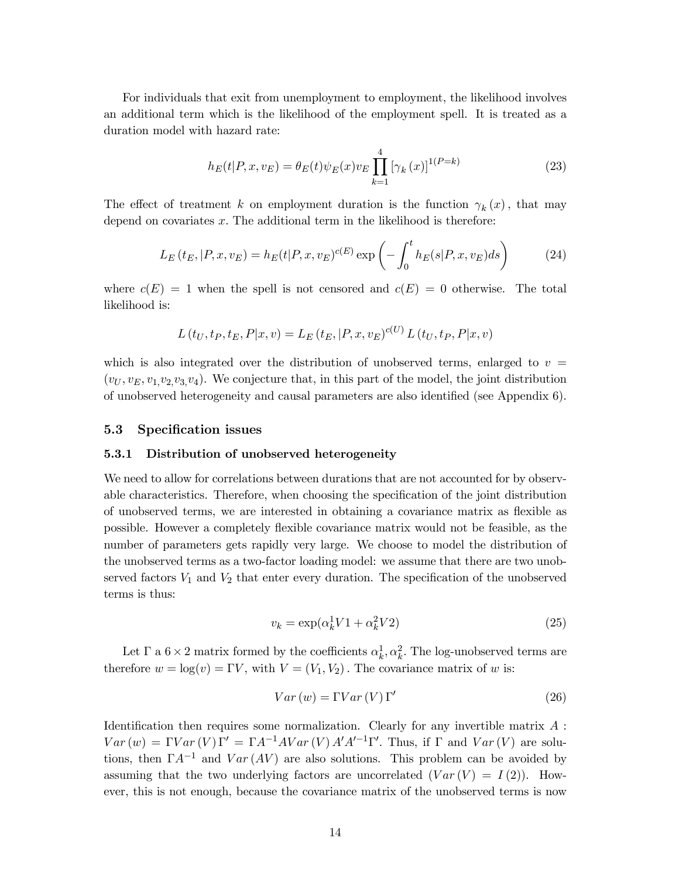For individuals that exit from unemployment to employment, the likelihood involves an additional term which is the likelihood of the employment spell. It is treated as a duration model with hazard rate:

$$
h_E(t|P, x, v_E) = \theta_E(t)\psi_E(x)v_E \prod_{k=1}^4 [\gamma_k(x)]^{1(P=k)}
$$
\n(23)

The effect of treatment k on employment duration is the function  $\gamma_k(x)$ , that may depend on covariates  $x$ . The additional term in the likelihood is therefore:

$$
L_E(t_E, |P, x, v_E) = h_E(t|P, x, v_E)^{c(E)} \exp\left(-\int_0^t h_E(s|P, x, v_E)ds\right)
$$
 (24)

where  $c(E) = 1$  when the spell is not censored and  $c(E) = 0$  otherwise. The total likelihood is:

$$
L(t_U, t_P, t_E, P|x, v) = L_E(t_E, |P, x, v_E)^{c(U)} L(t_U, t_P, P|x, v)
$$

which is also integrated over the distribution of unobserved terms, enlarged to  $v =$  $(v_U, v_E, v_1, v_2, v_3, v_4)$ . We conjecture that, in this part of the model, the joint distribution of unobserved heterogeneity and causal parameters are also identified (see Appendix 6).

### 5.3 Specification issues

#### 5.3.1 Distribution of unobserved heterogeneity

We need to allow for correlations between durations that are not accounted for by observable characteristics. Therefore, when choosing the specification of the joint distribution of unobserved terms, we are interested in obtaining a covariance matrix as flexible as possible. However a completely flexible covariance matrix would not be feasible, as the number of parameters gets rapidly very large. We choose to model the distribution of the unobserved terms as a two-factor loading model: we assume that there are two unobserved factors  $V_1$  and  $V_2$  that enter every duration. The specification of the unobserved terms is thus:

$$
v_k = \exp(\alpha_k^1 V 1 + \alpha_k^2 V 2) \tag{25}
$$

Let  $\Gamma$  a  $6 \times 2$  matrix formed by the coefficients  $\alpha_k^1, \alpha_k^2$ . The log-unobserved terms are therefore  $w = \log(v) = \Gamma V$ , with  $V = (V_1, V_2)$ . The covariance matrix of w is:

$$
Var(w) = \Gamma Var(V) \Gamma'
$$
\n(26)

Identification then requires some normalization. Clearly for any invertible matrix  $A$ :  $Var(w) = \Gamma Var(V)\Gamma' = \Gamma A^{-1}AVar(V) A'A'^{-1}\Gamma'.$  Thus, if  $\Gamma$  and  $Var(V)$  are solutions, then  $\Gamma A^{-1}$  and  $Var(AV)$  are also solutions. This problem can be avoided by assuming that the two underlying factors are uncorrelated  $(Var(V) = I(2))$ . However, this is not enough, because the covariance matrix of the unobserved terms is now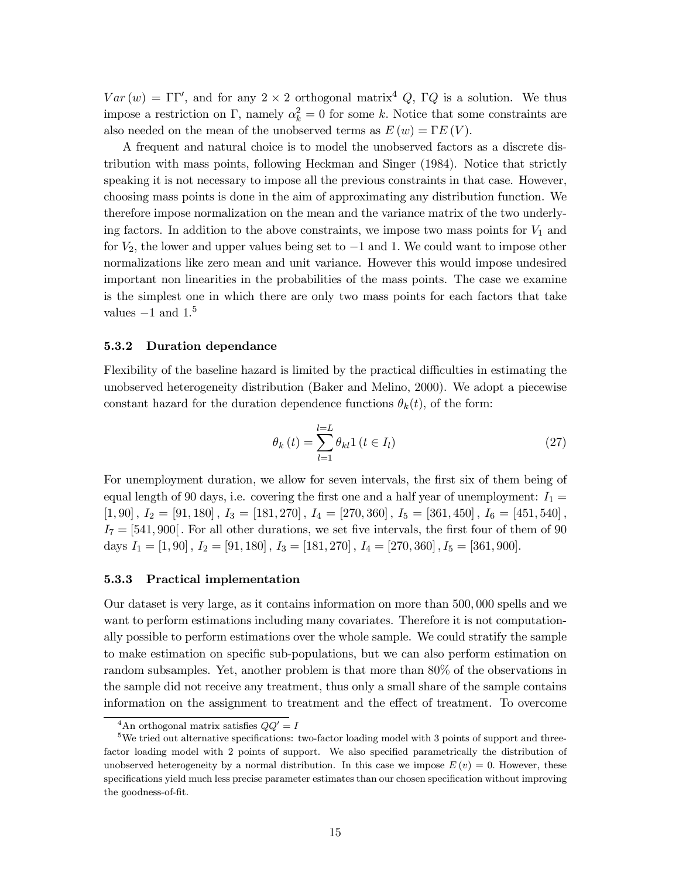$Var(w) = \Gamma \Gamma'$ , and for any  $2 \times 2$  orthogonal matrix<sup>4</sup> Q,  $\Gamma Q$  is a solution. We thus impose a restriction on Γ, namely  $\alpha_k^2 = 0$  for some k. Notice that some constraints are also needed on the mean of the unobserved terms as  $E(w) = \Gamma E(V)$ .

A frequent and natural choice is to model the unobserved factors as a discrete distribution with mass points, following Heckman and Singer (1984). Notice that strictly speaking it is not necessary to impose all the previous constraints in that case. However, choosing mass points is done in the aim of approximating any distribution function. We therefore impose normalization on the mean and the variance matrix of the two underlying factors. In addition to the above constraints, we impose two mass points for  $V_1$  and for  $V_2$ , the lower and upper values being set to  $-1$  and 1. We could want to impose other normalizations like zero mean and unit variance. However this would impose undesired important non linearities in the probabilities of the mass points. The case we examine is the simplest one in which there are only two mass points for each factors that take values  $-1$  and  $1<sup>5</sup>$ 

#### 5.3.2 Duration dependance

Flexibility of the baseline hazard is limited by the practical difficulties in estimating the unobserved heterogeneity distribution (Baker and Melino, 2000). We adopt a piecewise constant hazard for the duration dependence functions  $\theta_k(t)$ , of the form:

$$
\theta_k(t) = \sum_{l=1}^{l=L} \theta_{kl} 1 \left( t \in I_l \right) \tag{27}
$$

For unemployment duration, we allow for seven intervals, the first six of them being of equal length of 90 days, i.e. covering the first one and a half year of unemployment:  $I_1 =$  $[1,90]$ ,  $I_2 = [91, 180]$ ,  $I_3 = [181, 270]$ ,  $I_4 = [270, 360]$ ,  $I_5 = [361, 450]$ ,  $I_6 = [451, 540]$ ,  $I_7 = [541, 900]$ . For all other durations, we set five intervals, the first four of them of 90 days  $I_1 = [1, 90]$ ,  $I_2 = [91, 180]$ ,  $I_3 = [181, 270]$ ,  $I_4 = [270, 360]$ ,  $I_5 = [361, 900]$ .

#### 5.3.3 Practical implementation

Our dataset is very large, as it contains information on more than 500, 000 spells and we want to perform estimations including many covariates. Therefore it is not computationally possible to perform estimations over the whole sample. We could stratify the sample to make estimation on specific sub-populations, but we can also perform estimation on random subsamples. Yet, another problem is that more than 80% of the observations in the sample did not receive any treatment, thus only a small share of the sample contains information on the assignment to treatment and the effect of treatment. To overcome

<sup>&</sup>lt;sup>4</sup>An orthogonal matrix satisfies  $QQ' = I$ 

 $5$ We tried out alternative specifications: two-factor loading model with 3 points of support and threefactor loading model with 2 points of support. We also specified parametrically the distribution of unobserved heterogeneity by a normal distribution. In this case we impose  $E(v) = 0$ . However, these specifications yield much less precise parameter estimates than our chosen specification without improving the goodness-of-fit.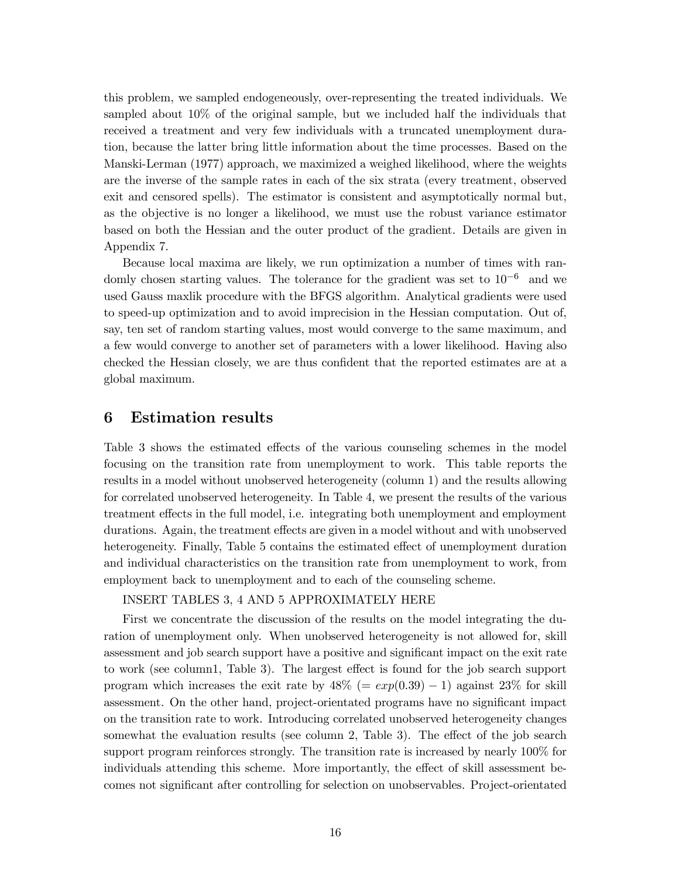this problem, we sampled endogeneously, over-representing the treated individuals. We sampled about 10% of the original sample, but we included half the individuals that received a treatment and very few individuals with a truncated unemployment duration, because the latter bring little information about the time processes. Based on the Manski-Lerman (1977) approach, we maximized a weighed likelihood, where the weights are the inverse of the sample rates in each of the six strata (every treatment, observed exit and censored spells). The estimator is consistent and asymptotically normal but, as the objective is no longer a likelihood, we must use the robust variance estimator based on both the Hessian and the outer product of the gradient. Details are given in Appendix 7.

Because local maxima are likely, we run optimization a number of times with randomly chosen starting values. The tolerance for the gradient was set to  $10^{-6}$  and we used Gauss maxlik procedure with the BFGS algorithm. Analytical gradients were used to speed-up optimization and to avoid imprecision in the Hessian computation. Out of, say, ten set of random starting values, most would converge to the same maximum, and a few would converge to another set of parameters with a lower likelihood. Having also checked the Hessian closely, we are thus confident that the reported estimates are at a global maximum.

# 6 Estimation results

Table 3 shows the estimated effects of the various counseling schemes in the model focusing on the transition rate from unemployment to work. This table reports the results in a model without unobserved heterogeneity (column 1) and the results allowing for correlated unobserved heterogeneity. In Table 4, we present the results of the various treatment effects in the full model, i.e. integrating both unemployment and employment durations. Again, the treatment effects are given in a model without and with unobserved heterogeneity. Finally, Table 5 contains the estimated effect of unemployment duration and individual characteristics on the transition rate from unemployment to work, from employment back to unemployment and to each of the counseling scheme.

## INSERT TABLES 3, 4 AND 5 APPROXIMATELY HERE

First we concentrate the discussion of the results on the model integrating the duration of unemployment only. When unobserved heterogeneity is not allowed for, skill assessment and job search support have a positive and significant impact on the exit rate to work (see column1, Table 3). The largest effect is found for the job search support program which increases the exit rate by  $48\%$  (=  $exp(0.39) - 1$ ) against 23% for skill assessment. On the other hand, project-orientated programs have no significant impact on the transition rate to work. Introducing correlated unobserved heterogeneity changes somewhat the evaluation results (see column 2, Table 3). The effect of the job search support program reinforces strongly. The transition rate is increased by nearly 100% for individuals attending this scheme. More importantly, the effect of skill assessment becomes not significant after controlling for selection on unobservables. Project-orientated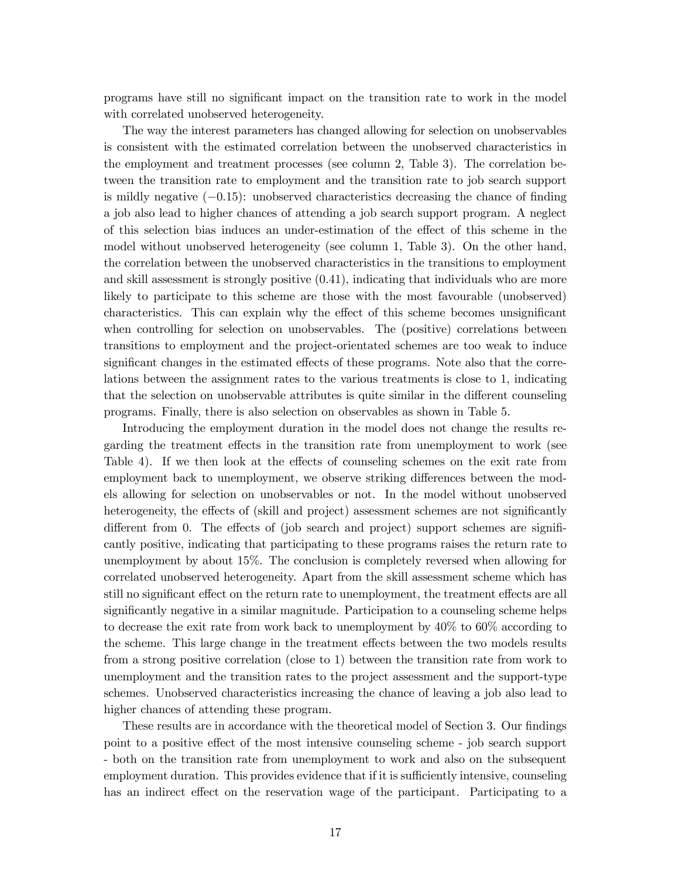programs have still no significant impact on the transition rate to work in the model with correlated unobserved heterogeneity.

The way the interest parameters has changed allowing for selection on unobservables is consistent with the estimated correlation between the unobserved characteristics in the employment and treatment processes (see column 2, Table 3). The correlation between the transition rate to employment and the transition rate to job search support is mildly negative (−0.15): unobserved characteristics decreasing the chance of finding a job also lead to higher chances of attending a job search support program. A neglect of this selection bias induces an under-estimation of the effect of this scheme in the model without unobserved heterogeneity (see column 1, Table 3). On the other hand, the correlation between the unobserved characteristics in the transitions to employment and skill assessment is strongly positive (0.41), indicating that individuals who are more likely to participate to this scheme are those with the most favourable (unobserved) characteristics. This can explain why the effect of this scheme becomes unsignificant when controlling for selection on unobservables. The (positive) correlations between transitions to employment and the project-orientated schemes are too weak to induce significant changes in the estimated effects of these programs. Note also that the correlations between the assignment rates to the various treatments is close to 1, indicating that the selection on unobservable attributes is quite similar in the different counseling programs. Finally, there is also selection on observables as shown in Table 5.

Introducing the employment duration in the model does not change the results regarding the treatment effects in the transition rate from unemployment to work (see Table 4). If we then look at the effects of counseling schemes on the exit rate from employment back to unemployment, we observe striking differences between the models allowing for selection on unobservables or not. In the model without unobserved heterogeneity, the effects of (skill and project) assessment schemes are not significantly different from 0. The effects of (job search and project) support schemes are significantly positive, indicating that participating to these programs raises the return rate to unemployment by about 15%. The conclusion is completely reversed when allowing for correlated unobserved heterogeneity. Apart from the skill assessment scheme which has still no significant effect on the return rate to unemployment, the treatment effects are all significantly negative in a similar magnitude. Participation to a counseling scheme helps to decrease the exit rate from work back to unemployment by 40% to 60% according to the scheme. This large change in the treatment effects between the two models results from a strong positive correlation (close to 1) between the transition rate from work to unemployment and the transition rates to the project assessment and the support-type schemes. Unobserved characteristics increasing the chance of leaving a job also lead to higher chances of attending these program.

These results are in accordance with the theoretical model of Section 3. Our findings point to a positive effect of the most intensive counseling scheme - job search support - both on the transition rate from unemployment to work and also on the subsequent employment duration. This provides evidence that if it is sufficiently intensive, counseling has an indirect effect on the reservation wage of the participant. Participating to a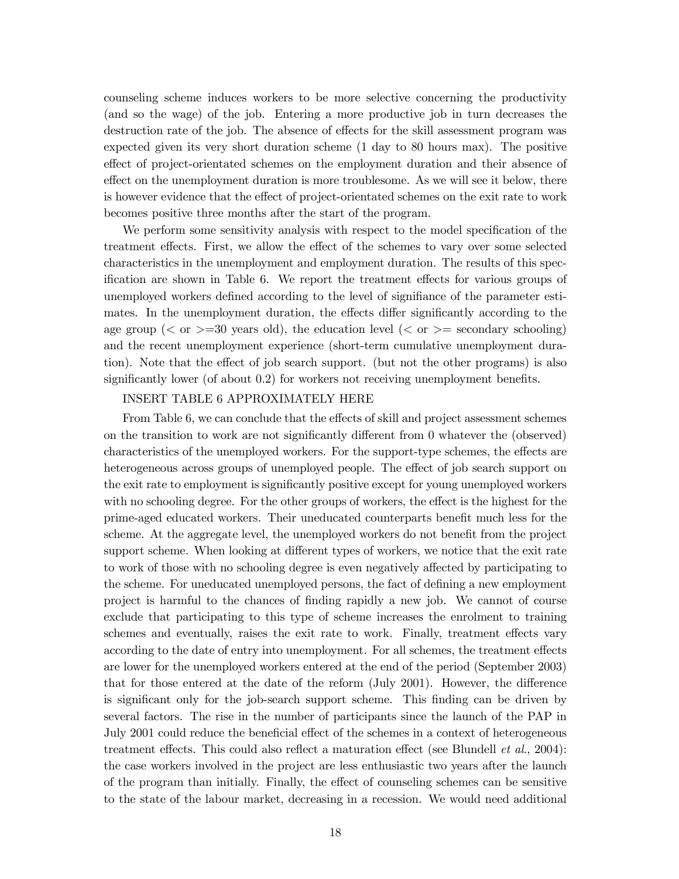counseling scheme induces workers to be more selective concerning the productivity (and so the wage) of the job. Entering a more productive job in turn decreases the destruction rate of the job. The absence of effects for the skill assessment program was expected given its very short duration scheme (1 day to 80 hours max). The positive effect of project-orientated schemes on the employment duration and their absence of effect on the unemployment duration is more troublesome. As we will see it below, there is however evidence that the effect of project-orientated schemes on the exit rate to work becomes positive three months after the start of the program.

We perform some sensitivity analysis with respect to the model specification of the treatment effects. First, we allow the effect of the schemes to vary over some selected characteristics in the unemployment and employment duration. The results of this specification are shown in Table 6. We report the treatment effects for various groups of unemployed workers defined according to the level of signifiance of the parameter estimates. In the unemployment duration, the effects differ significantly according to the age group ( $\lt$  or  $\gt$ =30 years old), the education level ( $\lt$  or  $\gt$ = secondary schooling) and the recent unemployment experience (short-term cumulative unemployment duration). Note that the effect of job search support. (but not the other programs) is also significantly lower (of about 0.2) for workers not receiving unemployment benefits.

## INSERT TABLE 6 APPROXIMATELY HERE

From Table 6, we can conclude that the effects of skill and project assessment schemes on the transition to work are not significantly different from 0 whatever the (observed) characteristics of the unemployed workers. For the support-type schemes, the effects are heterogeneous across groups of unemployed people. The effect of job search support on the exit rate to employment is significantly positive except for young unemployed workers with no schooling degree. For the other groups of workers, the effect is the highest for the prime-aged educated workers. Their uneducated counterparts benefit much less for the scheme. At the aggregate level, the unemployed workers do not benefit from the project support scheme. When looking at different types of workers, we notice that the exit rate to work of those with no schooling degree is even negatively affected by participating to the scheme. For uneducated unemployed persons, the fact of defining a new employment project is harmful to the chances of finding rapidly a new job. We cannot of course exclude that participating to this type of scheme increases the enrolment to training schemes and eventually, raises the exit rate to work. Finally, treatment effects vary according to the date of entry into unemployment. For all schemes, the treatment effects are lower for the unemployed workers entered at the end of the period (September 2003) that for those entered at the date of the reform (July 2001). However, the difference is significant only for the job-search support scheme. This finding can be driven by several factors. The rise in the number of participants since the launch of the PAP in July 2001 could reduce the beneficial effect of the schemes in a context of heterogeneous treatment effects. This could also reflect a maturation effect (see Blundell  $et al., 2004$ ): the case workers involved in the project are less enthusiastic two years after the launch of the program than initially. Finally, the effect of counseling schemes can be sensitive to the state of the labour market, decreasing in a recession. We would need additional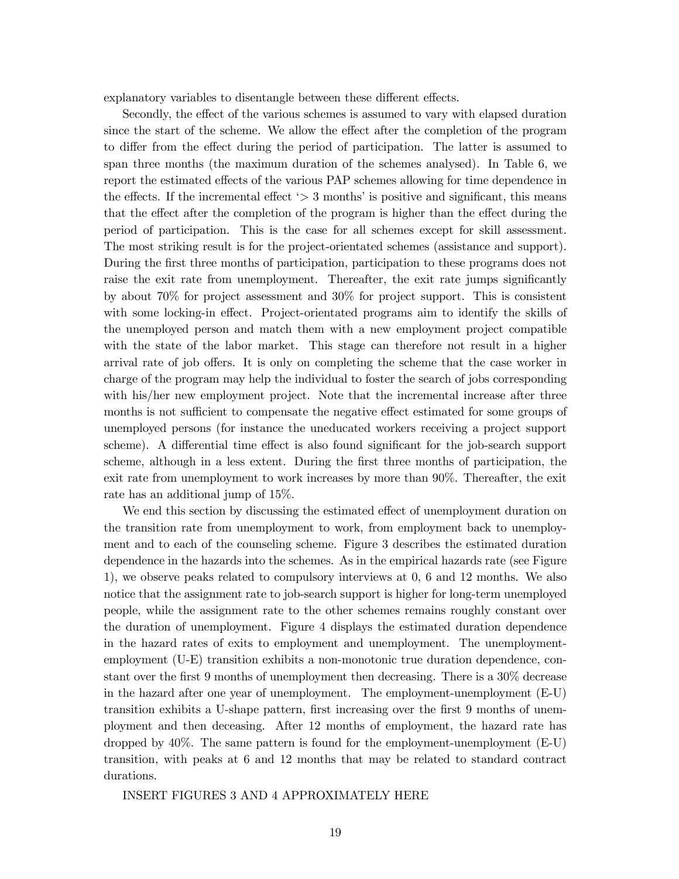explanatory variables to disentangle between these different effects.

Secondly, the effect of the various schemes is assumed to vary with elapsed duration since the start of the scheme. We allow the effect after the completion of the program to differ from the effect during the period of participation. The latter is assumed to span three months (the maximum duration of the schemes analysed). In Table 6, we report the estimated effects of the various PAP schemes allowing for time dependence in the effects. If the incremental effect  $\geq$  3 months' is positive and significant, this means that the effect after the completion of the program is higher than the effect during the period of participation. This is the case for all schemes except for skill assessment. The most striking result is for the project-orientated schemes (assistance and support). During the first three months of participation, participation to these programs does not raise the exit rate from unemployment. Thereafter, the exit rate jumps significantly by about 70% for project assessment and 30% for project support. This is consistent with some locking-in effect. Project-orientated programs aim to identify the skills of the unemployed person and match them with a new employment project compatible with the state of the labor market. This stage can therefore not result in a higher arrival rate of job offers. It is only on completing the scheme that the case worker in charge of the program may help the individual to foster the search of jobs corresponding with his/her new employment project. Note that the incremental increase after three months is not sufficient to compensate the negative effect estimated for some groups of unemployed persons (for instance the uneducated workers receiving a project support scheme). A differential time effect is also found significant for the job-search support scheme, although in a less extent. During the first three months of participation, the exit rate from unemployment to work increases by more than 90%. Thereafter, the exit rate has an additional jump of 15%.

We end this section by discussing the estimated effect of unemployment duration on the transition rate from unemployment to work, from employment back to unemployment and to each of the counseling scheme. Figure 3 describes the estimated duration dependence in the hazards into the schemes. As in the empirical hazards rate (see Figure 1), we observe peaks related to compulsory interviews at 0, 6 and 12 months. We also notice that the assignment rate to job-search support is higher for long-term unemployed people, while the assignment rate to the other schemes remains roughly constant over the duration of unemployment. Figure 4 displays the estimated duration dependence in the hazard rates of exits to employment and unemployment. The unemploymentemployment (U-E) transition exhibits a non-monotonic true duration dependence, constant over the first 9 months of unemployment then decreasing. There is a 30% decrease in the hazard after one year of unemployment. The employment-unemployment (E-U) transition exhibits a U-shape pattern, first increasing over the first 9 months of unemployment and then deceasing. After 12 months of employment, the hazard rate has dropped by 40%. The same pattern is found for the employment-unemployment (E-U) transition, with peaks at 6 and 12 months that may be related to standard contract durations.

INSERT FIGURES 3 AND 4 APPROXIMATELY HERE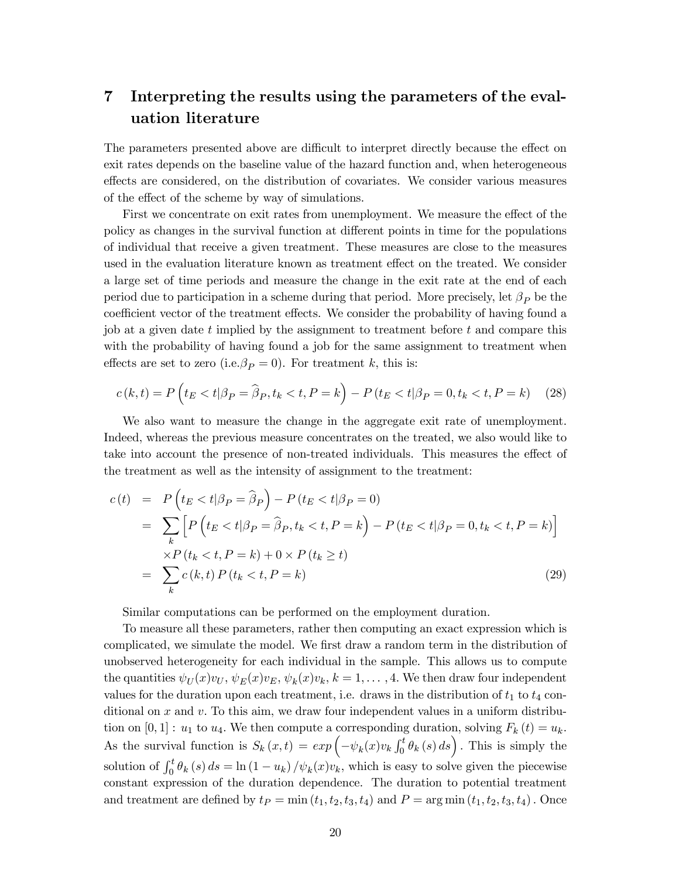# 7 Interpreting the results using the parameters of the evaluation literature

The parameters presented above are difficult to interpret directly because the effect on exit rates depends on the baseline value of the hazard function and, when heterogeneous effects are considered, on the distribution of covariates. We consider various measures of the effect of the scheme by way of simulations.

First we concentrate on exit rates from unemployment. We measure the effect of the policy as changes in the survival function at different points in time for the populations of individual that receive a given treatment. These measures are close to the measures used in the evaluation literature known as treatment effect on the treated. We consider a large set of time periods and measure the change in the exit rate at the end of each period due to participation in a scheme during that period. More precisely, let  $\beta_P$  be the coefficient vector of the treatment effects. We consider the probability of having found a job at a given date t implied by the assignment to treatment before t and compare this with the probability of having found a job for the same assignment to treatment when effects are set to zero (i.e.  $\beta_P = 0$ ). For treatment k, this is:

$$
c(k,t) = P\left(t_E < t | \beta_P = \hat{\beta}_P, t_k < t, P = k\right) - P\left(t_E < t | \beta_P = 0, t_k < t, P = k\right) \tag{28}
$$

We also want to measure the change in the aggregate exit rate of unemployment. Indeed, whereas the previous measure concentrates on the treated, we also would like to take into account the presence of non-treated individuals. This measures the effect of the treatment as well as the intensity of assignment to the treatment:

$$
c(t) = P\left(t_E < t | \beta_P = \hat{\beta}_P\right) - P\left(t_E < t | \beta_P = 0\right)
$$
\n
$$
= \sum_k \left[ P\left(t_E < t | \beta_P = \hat{\beta}_P, t_k < t, P = k\right) - P\left(t_E < t | \beta_P = 0, t_k < t, P = k\right) \right]
$$
\n
$$
\times P\left(t_k < t, P = k\right) + 0 \times P\left(t_k \ge t\right)
$$
\n
$$
= \sum_k c\left(k, t\right) P\left(t_k < t, P = k\right) \tag{29}
$$

Similar computations can be performed on the employment duration.

To measure all these parameters, rather then computing an exact expression which is complicated, we simulate the model. We first draw a random term in the distribution of unobserved heterogeneity for each individual in the sample. This allows us to compute the quantities  $\psi_U(x)v_U, \psi_E(x)v_E, \psi_k(x)v_k, k = 1, ..., 4$ . We then draw four independent values for the duration upon each treatment, i.e. draws in the distribution of  $t_1$  to  $t_4$  conditional on x and v. To this aim, we draw four independent values in a uniform distribution on [0, 1] :  $u_1$  to  $u_4$ . We then compute a corresponding duration, solving  $F_k(t) = u_k$ . As the survival function is  $S_k(x,t) = exp(-\psi_k(x)v_k \int_0^t \theta_k(s) ds)$ . This is simply the solution of  $\int_0^t \theta_k(s) ds = \ln(1 - u_k) / \psi_k(x) v_k$ , which is easy to solve given the piecewise constant expression of the duration dependence. The duration to potential treatment and treatment are defined by  $t_P = \min(t_1, t_2, t_3, t_4)$  and  $P = \arg \min(t_1, t_2, t_3, t_4)$ . Once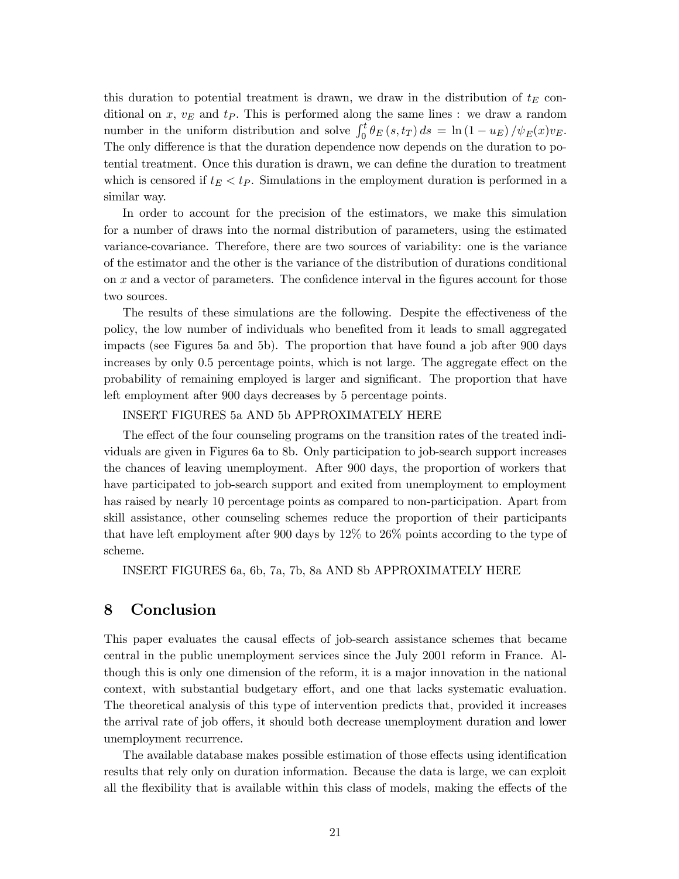this duration to potential treatment is drawn, we draw in the distribution of  $t_E$  conditional on  $x, v_E$  and  $t_P$ . This is performed along the same lines : we draw a random number in the uniform distribution and solve  $\int_0^t \theta_E(s, t_T) ds = \ln(1 - u_E) / \psi_E(x) v_E$ . The only difference is that the duration dependence now depends on the duration to potential treatment. Once this duration is drawn, we can define the duration to treatment which is censored if  $t_E < t_P$ . Simulations in the employment duration is performed in a similar way.

In order to account for the precision of the estimators, we make this simulation for a number of draws into the normal distribution of parameters, using the estimated variance-covariance. Therefore, there are two sources of variability: one is the variance of the estimator and the other is the variance of the distribution of durations conditional on x and a vector of parameters. The confidence interval in the figures account for those two sources.

The results of these simulations are the following. Despite the effectiveness of the policy, the low number of individuals who benefited from it leads to small aggregated impacts (see Figures 5a and 5b). The proportion that have found a job after 900 days increases by only 0.5 percentage points, which is not large. The aggregate effect on the probability of remaining employed is larger and significant. The proportion that have left employment after 900 days decreases by 5 percentage points.

## INSERT FIGURES 5a AND 5b APPROXIMATELY HERE

The effect of the four counseling programs on the transition rates of the treated individuals are given in Figures 6a to 8b. Only participation to job-search support increases the chances of leaving unemployment. After 900 days, the proportion of workers that have participated to job-search support and exited from unemployment to employment has raised by nearly 10 percentage points as compared to non-participation. Apart from skill assistance, other counseling schemes reduce the proportion of their participants that have left employment after 900 days by 12% to 26% points according to the type of scheme.

INSERT FIGURES 6a, 6b, 7a, 7b, 8a AND 8b APPROXIMATELY HERE

# 8 Conclusion

This paper evaluates the causal effects of job-search assistance schemes that became central in the public unemployment services since the July 2001 reform in France. Although this is only one dimension of the reform, it is a major innovation in the national context, with substantial budgetary effort, and one that lacks systematic evaluation. The theoretical analysis of this type of intervention predicts that, provided it increases the arrival rate of job offers, it should both decrease unemployment duration and lower unemployment recurrence.

The available database makes possible estimation of those effects using identification results that rely only on duration information. Because the data is large, we can exploit all the flexibility that is available within this class of models, making the effects of the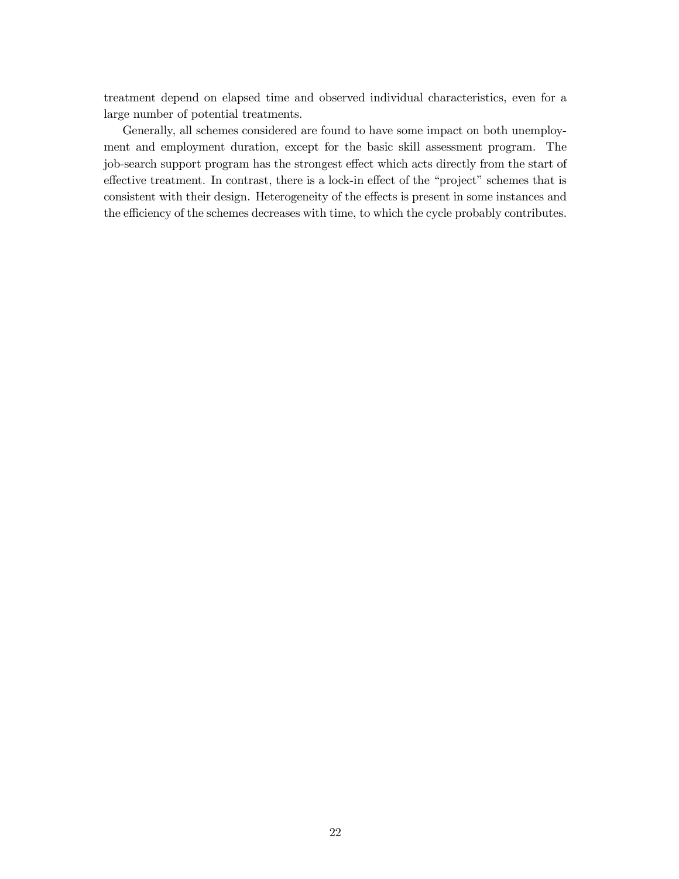treatment depend on elapsed time and observed individual characteristics, even for a large number of potential treatments.

Generally, all schemes considered are found to have some impact on both unemployment and employment duration, except for the basic skill assessment program. The job-search support program has the strongest effect which acts directly from the start of effective treatment. In contrast, there is a lock-in effect of the "project" schemes that is consistent with their design. Heterogeneity of the effects is present in some instances and the efficiency of the schemes decreases with time, to which the cycle probably contributes.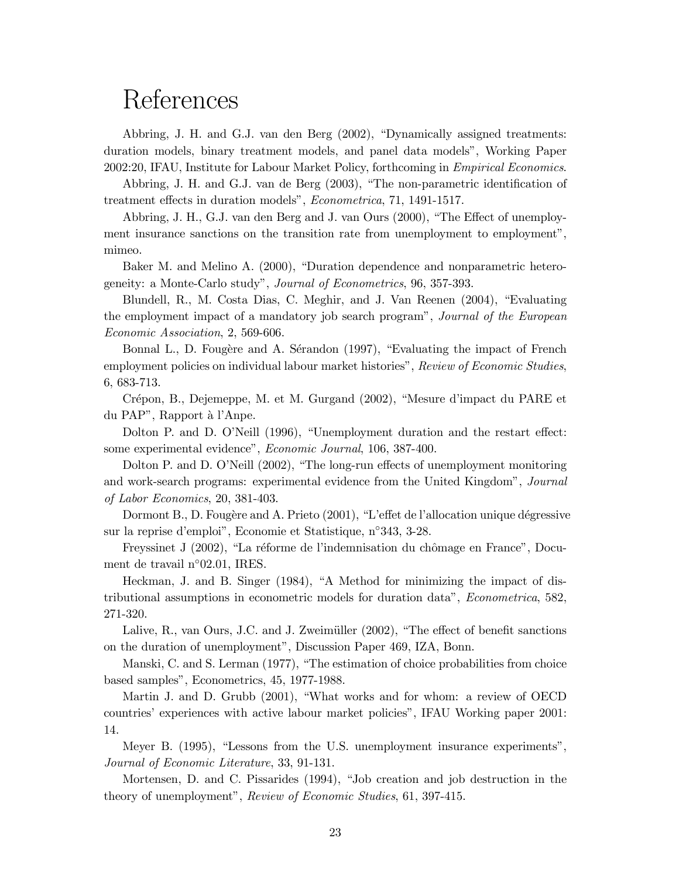# References

Abbring, J. H. and G.J. van den Berg (2002), "Dynamically assigned treatments: duration models, binary treatment models, and panel data models", Working Paper 2002:20, IFAU, Institute for Labour Market Policy, forthcoming in Empirical Economics.

Abbring, J. H. and G.J. van de Berg (2003), "The non-parametric identification of treatment effects in duration models", Econometrica, 71, 1491-1517.

Abbring, J. H., G.J. van den Berg and J. van Ours (2000), "The Effect of unemployment insurance sanctions on the transition rate from unemployment to employment", mimeo.

Baker M. and Melino A. (2000), "Duration dependence and nonparametric heterogeneity: a Monte-Carlo study", Journal of Econometrics, 96, 357-393.

Blundell, R., M. Costa Dias, C. Meghir, and J. Van Reenen (2004), "Evaluating the employment impact of a mandatory job search program", Journal of the European Economic Association, 2, 569-606.

Bonnal L., D. Fougère and A. Sérandon (1997), "Evaluating the impact of French employment policies on individual labour market histories", Review of Economic Studies, 6, 683-713.

Crépon, B., Dejemeppe, M. et M. Gurgand (2002), "Mesure d'impact du PARE et du PAP", Rapport à l'Anpe.

Dolton P. and D. O'Neill (1996), "Unemployment duration and the restart effect: some experimental evidence", Economic Journal, 106, 387-400.

Dolton P. and D. O'Neill (2002), "The long-run effects of unemployment monitoring and work-search programs: experimental evidence from the United Kingdom", Journal of Labor Economics, 20, 381-403.

Dormont B., D. Fougère and A. Prieto (2001), "L'effet de l'allocation unique dégressive sur la reprise d'emploi", Economie et Statistique, n◦343, 3-28.

Freyssinet J (2002), "La réforme de l'indemnisation du chômage en France", Document de travail n◦02.01, IRES.

Heckman, J. and B. Singer (1984), "A Method for minimizing the impact of distributional assumptions in econometric models for duration data", Econometrica, 582, 271-320.

Lalive, R., van Ours, J.C. and J. Zweimüller (2002), "The effect of benefit sanctions on the duration of unemployment", Discussion Paper 469, IZA, Bonn.

Manski, C. and S. Lerman (1977), "The estimation of choice probabilities from choice based samples", Econometrics, 45, 1977-1988.

Martin J. and D. Grubb (2001), "What works and for whom: a review of OECD countries' experiences with active labour market policies", IFAU Working paper 2001: 14.

Meyer B. (1995), "Lessons from the U.S. unemployment insurance experiments", Journal of Economic Literature, 33, 91-131.

Mortensen, D. and C. Pissarides (1994), "Job creation and job destruction in the theory of unemployment", Review of Economic Studies, 61, 397-415.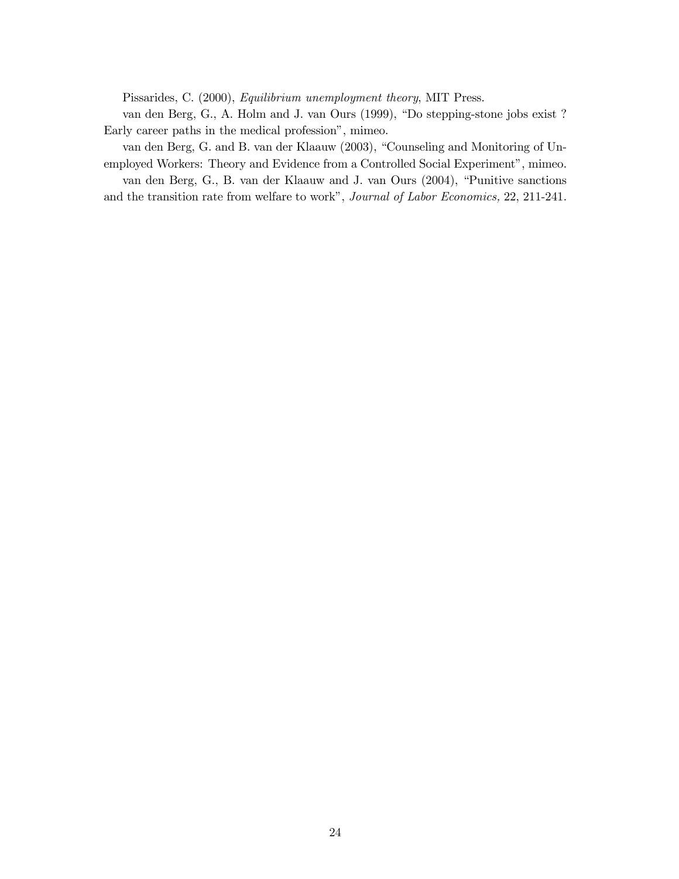Pissarides, C. (2000), Equilibrium unemployment theory, MIT Press.

van den Berg, G., A. Holm and J. van Ours (1999), "Do stepping-stone jobs exist ? Early career paths in the medical profession", mimeo.

van den Berg, G. and B. van der Klaauw (2003), "Counseling and Monitoring of Unemployed Workers: Theory and Evidence from a Controlled Social Experiment", mimeo.

van den Berg, G., B. van der Klaauw and J. van Ours (2004), "Punitive sanctions and the transition rate from welfare to work", Journal of Labor Economics, 22, 211-241.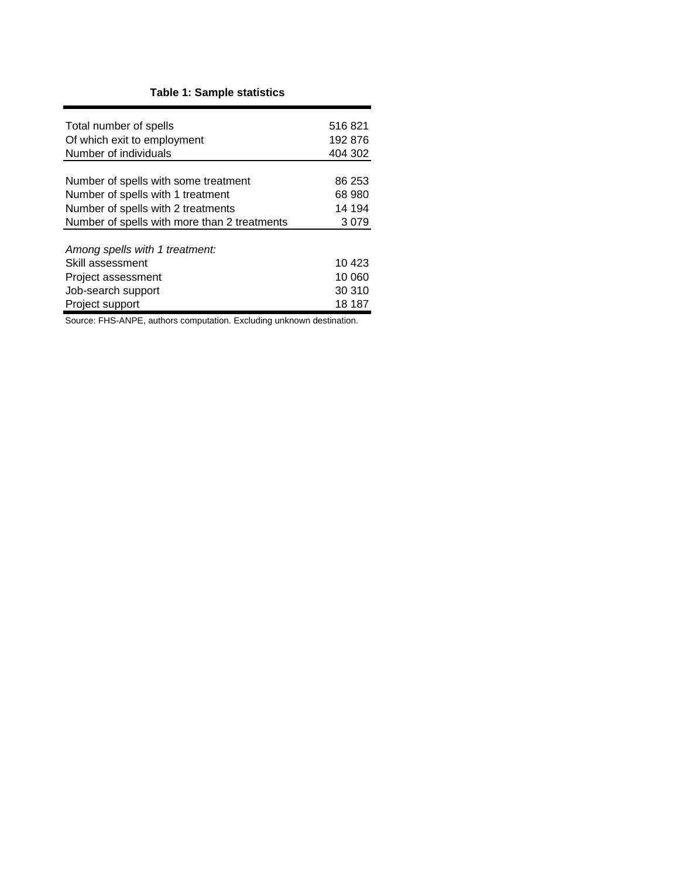# **Table 1: Sample statistics**

| Total number of spells                       | 516821  |
|----------------------------------------------|---------|
| Of which exit to employment                  | 192876  |
| Number of individuals                        | 404 302 |
|                                              |         |
| Number of spells with some treatment         | 86 253  |
| Number of spells with 1 treatment            | 68 980  |
| Number of spells with 2 treatments           | 14 194  |
| Number of spells with more than 2 treatments | 3079    |
|                                              |         |
| Among spells with 1 treatment:               |         |
| Skill assessment                             | 10 423  |
| Project assessment                           | 10 060  |
| Job-search support                           | 30 310  |
| Project support                              | 18 187  |

Source: FHS-ANPE, authors computation. Excluding unknown destination.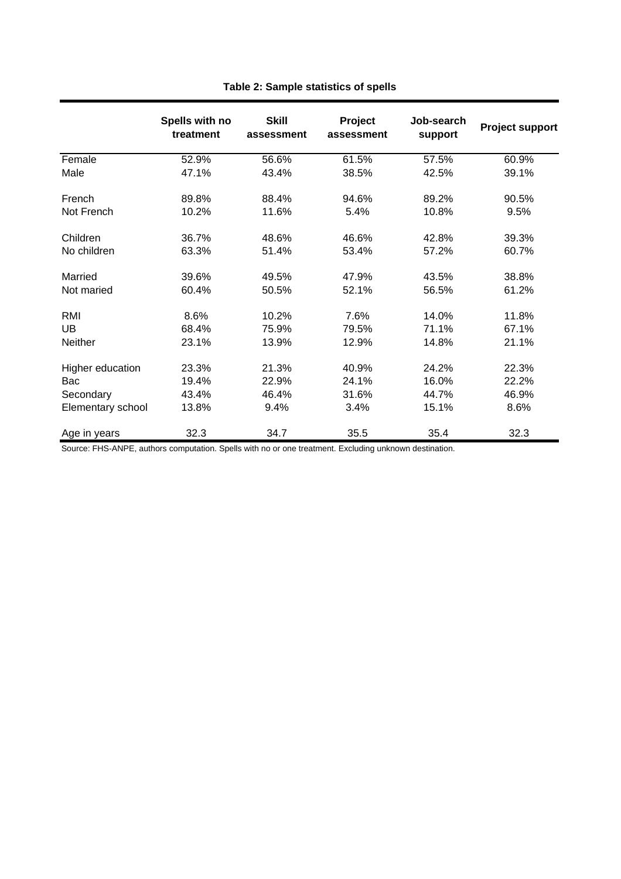|                   | Spells with no<br>treatment | <b>Skill</b><br>assessment | Project<br>assessment | Job-search<br>support | <b>Project support</b> |
|-------------------|-----------------------------|----------------------------|-----------------------|-----------------------|------------------------|
| Female            | 52.9%                       | 56.6%                      | 61.5%                 | 57.5%                 | 60.9%                  |
| Male              | 47.1%                       | 43.4%                      | 38.5%                 | 42.5%                 | 39.1%                  |
| French            | 89.8%                       | 88.4%                      | 94.6%                 | 89.2%                 | 90.5%                  |
| Not French        | 10.2%                       | 11.6%                      | 5.4%                  | 10.8%                 | 9.5%                   |
| Children          | 36.7%                       | 48.6%                      | 46.6%                 | 42.8%                 | 39.3%                  |
| No children       | 63.3%                       | 51.4%                      | 53.4%                 | 57.2%                 | 60.7%                  |
| Married           | 39.6%                       | 49.5%                      | 47.9%                 | 43.5%                 | 38.8%                  |
| Not maried        | 60.4%                       | 50.5%                      | 52.1%                 | 56.5%                 | 61.2%                  |
| RMI               | 8.6%                        | 10.2%                      | 7.6%                  | 14.0%                 | 11.8%                  |
| <b>UB</b>         | 68.4%                       | 75.9%                      | 79.5%                 | 71.1%                 | 67.1%                  |
| Neither           | 23.1%                       | 13.9%                      | 12.9%                 | 14.8%                 | 21.1%                  |
| Higher education  | 23.3%                       | 21.3%                      | 40.9%                 | 24.2%                 | 22.3%                  |
| Bac               | 19.4%                       | 22.9%                      | 24.1%                 | 16.0%                 | 22.2%                  |
| Secondary         | 43.4%                       | 46.4%                      | 31.6%                 | 44.7%                 | 46.9%                  |
| Elementary school | 13.8%                       | 9.4%                       | 3.4%                  | 15.1%                 | 8.6%                   |
| Age in years      | 32.3                        | 34.7                       | 35.5                  | 35.4                  | 32.3                   |

# **Table 2: Sample statistics of spells**

Source: FHS-ANPE, authors computation. Spells with no or one treatment. Excluding unknown destination.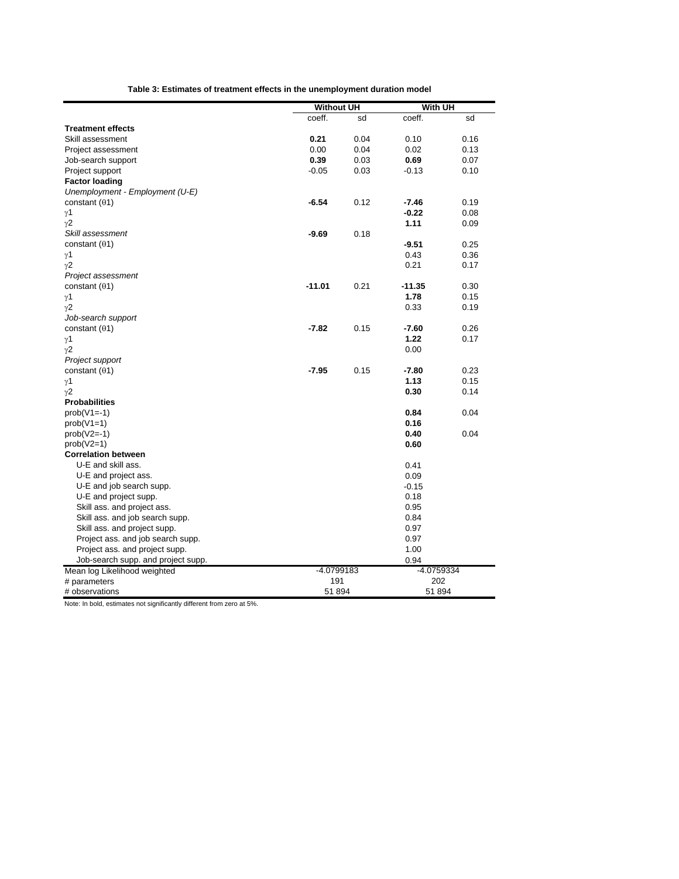|--|

|                                    | <b>Without UH</b> |      | With UH    |      |  |
|------------------------------------|-------------------|------|------------|------|--|
|                                    | coeff.            | sd   | coeff.     | sd   |  |
| <b>Treatment effects</b>           |                   |      |            |      |  |
| Skill assessment                   | 0.21              | 0.04 | 0.10       | 0.16 |  |
| Project assessment                 | 0.00              | 0.04 | 0.02       | 0.13 |  |
| Job-search support                 | 0.39              | 0.03 | 0.69       | 0.07 |  |
| Project support                    | $-0.05$           | 0.03 | $-0.13$    | 0.10 |  |
| <b>Factor loading</b>              |                   |      |            |      |  |
| Unemployment - Employment (U-E)    |                   |      |            |      |  |
| constant $(01)$                    | $-6.54$           | 0.12 | $-7.46$    | 0.19 |  |
| γ1                                 |                   |      | $-0.22$    | 0.08 |  |
| $\gamma$ 2                         |                   |      | 1.11       | 0.09 |  |
| Skill assessment                   | $-9.69$           | 0.18 |            |      |  |
| constant $(01)$                    |                   |      | $-9.51$    | 0.25 |  |
| γ1                                 |                   |      | 0.43       | 0.36 |  |
| $\gamma$ 2                         |                   |      | 0.21       | 0.17 |  |
| Project assessment                 |                   |      |            |      |  |
| constant $(01)$                    | $-11.01$          | 0.21 | $-11.35$   | 0.30 |  |
| γ1                                 |                   |      | 1.78       | 0.15 |  |
| $\gamma$ 2                         |                   |      | 0.33       | 0.19 |  |
| Job-search support                 |                   |      |            |      |  |
| constant $(01)$                    | $-7.82$           | 0.15 | $-7.60$    | 0.26 |  |
| $\gamma$ 1                         |                   |      | 1.22       | 0.17 |  |
| $\gamma$ 2                         |                   |      | 0.00       |      |  |
| Project support                    |                   |      |            |      |  |
| constant $(01)$                    | $-7.95$           | 0.15 | $-7.80$    | 0.23 |  |
| γ1                                 |                   |      | 1.13       | 0.15 |  |
| $\gamma$ 2                         |                   |      | 0.30       | 0.14 |  |
| <b>Probabilities</b>               |                   |      |            |      |  |
| $prob(V1=-1)$                      |                   |      | 0.84       | 0.04 |  |
| $prob(V1=1)$                       |                   |      | 0.16       |      |  |
| $prob(V2=-1)$                      |                   |      | 0.40       | 0.04 |  |
| $prob(V2=1)$                       |                   |      | 0.60       |      |  |
| <b>Correlation between</b>         |                   |      |            |      |  |
| U-E and skill ass.                 |                   |      | 0.41       |      |  |
| U-E and project ass.               |                   |      | 0.09       |      |  |
| U-E and job search supp.           |                   |      | $-0.15$    |      |  |
| U-E and project supp.              |                   |      | 0.18       |      |  |
| Skill ass. and project ass.        |                   |      | 0.95       |      |  |
| Skill ass. and job search supp.    |                   |      | 0.84       |      |  |
| Skill ass. and project supp.       |                   |      | 0.97       |      |  |
| Project ass. and job search supp.  |                   |      | 0.97       |      |  |
| Project ass. and project supp.     |                   |      | 1.00       |      |  |
| Job-search supp. and project supp. |                   |      | 0.94       |      |  |
| Mean log Likelihood weighted       | -4.0799183        |      | -4.0759334 |      |  |
| # parameters                       | 191               |      | 202        |      |  |
| # observations                     | 51894             |      | 51 894     |      |  |
|                                    |                   |      |            |      |  |

Note: In bold, estimates not significantly different from zero at 5%.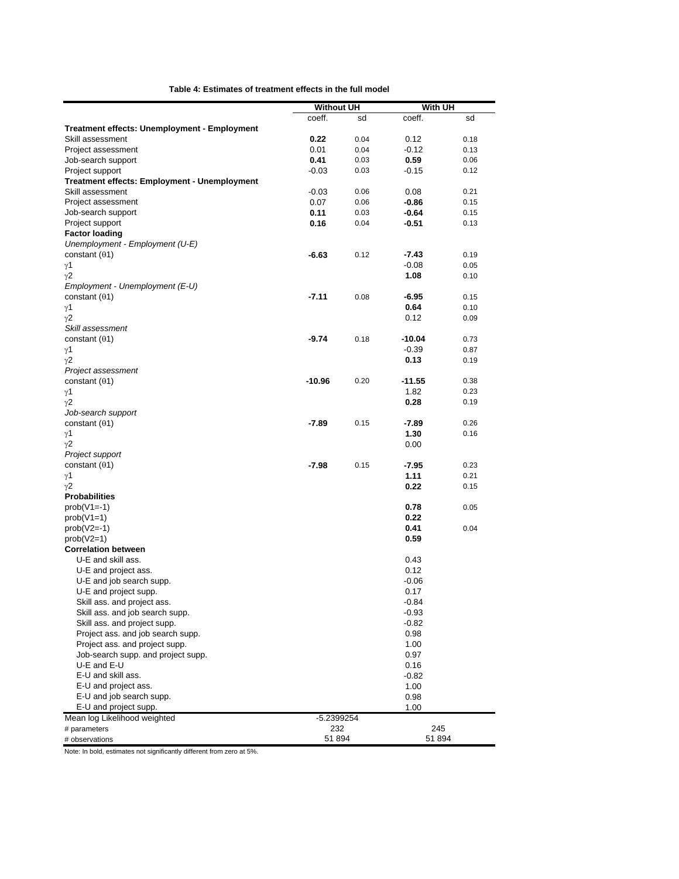| coeff.<br>coeff.<br>sd<br>sd<br>Treatment effects: Unemployment - Employment<br>0.22<br>Skill assessment<br>0.04<br>0.12<br>0.18<br>Project assessment<br>0.04<br>$-0.12$<br>0.01<br>0.13<br>0.59<br>Job-search support<br>0.41<br>0.03<br>0.06<br>Project support<br>$-0.03$<br>0.03<br>-0.15<br>0.12<br>Treatment effects: Employment - Unemployment<br>Skill assessment<br>$-0.03$<br>0.06<br>0.08<br>0.21<br>0.07<br>0.06<br>-0.86<br>0.15<br>Project assessment<br>0.11<br>$-0.64$<br>Job-search support<br>0.03<br>0.15<br>Project support<br>0.16<br>$-0.51$<br>0.04<br>0.13<br><b>Factor loading</b><br>Unemployment - Employment (U-E)<br>constant $(01)$<br>$-6.63$<br>0.12<br>$-7.43$<br>0.19<br>$-0.08$<br>0.05<br>γ1<br>1.08<br>γ2<br>0.10<br>Employment - Unemployment (E-U)<br>constant $(01)$<br>$-7.11$<br>0.08<br>-6.95<br>0.15<br>0.64<br>$\gamma$ 1<br>0.10<br>0.12<br>$\gamma$ 2<br>0.09<br>Skill assessment<br>constant $(01)$<br>$-9.74$<br>0.18<br>$-10.04$<br>0.73<br>γ1<br>$-0.39$<br>0.87<br>0.13<br>0.19<br>Project assessment<br>$-10.96$<br>0.20<br>$-11.55$<br>constant $(01)$<br>0.38<br>1.82<br>0.23<br>γ1<br>0.28<br>γ2<br>0.19<br>Job-search support<br>$-7.89$<br>0.15<br>-7.89<br>constant $(01)$<br>0.26<br>1.30<br>$\gamma$ 1<br>0.16<br>γ2<br>0.00<br>Project support<br>$-7.98$<br>0.15<br>$-7.95$<br>0.23<br>constant $(01)$<br>1.11<br>γ1<br>0.21<br>0.22<br>γ2<br>0.15<br><b>Probabilities</b><br>$prob(V1=-1)$<br>0.78<br>0.05<br>$prob(V1=1)$<br>0.22<br>$prob(V2=-1)$<br>0.41<br>0.04<br>$prob(V2=1)$<br>0.59<br><b>Correlation between</b><br>U-E and skill ass.<br>0.43<br>0.12<br>U-E and project ass.<br>U-E and job search supp.<br>-0.06<br>0.17<br>U-E and project supp.<br>Skill ass. and project ass.<br>$-0.84$<br>Skill ass. and job search supp.<br>$-0.93$<br>Skill ass. and project supp.<br>$-0.82$<br>Project ass. and job search supp.<br>0.98<br>Project ass. and project supp.<br>1.00<br>Job-search supp, and project supp.<br>0.97<br>U-E and E-U<br>0.16<br>E-U and skill ass.<br>$-0.82$<br>E-U and project ass.<br>1.00<br>E-U and job search supp.<br>0.98<br>E-U and project supp.<br>1.00 |                              | <b>Without UH</b> | With UH |  |  |
|---------------------------------------------------------------------------------------------------------------------------------------------------------------------------------------------------------------------------------------------------------------------------------------------------------------------------------------------------------------------------------------------------------------------------------------------------------------------------------------------------------------------------------------------------------------------------------------------------------------------------------------------------------------------------------------------------------------------------------------------------------------------------------------------------------------------------------------------------------------------------------------------------------------------------------------------------------------------------------------------------------------------------------------------------------------------------------------------------------------------------------------------------------------------------------------------------------------------------------------------------------------------------------------------------------------------------------------------------------------------------------------------------------------------------------------------------------------------------------------------------------------------------------------------------------------------------------------------------------------------------------------------------------------------------------------------------------------------------------------------------------------------------------------------------------------------------------------------------------------------------------------------------------------------------------------------------------------------------------------------------------------------------------------------------------------------------------------------------------------------------------------------------------------------|------------------------------|-------------------|---------|--|--|
|                                                                                                                                                                                                                                                                                                                                                                                                                                                                                                                                                                                                                                                                                                                                                                                                                                                                                                                                                                                                                                                                                                                                                                                                                                                                                                                                                                                                                                                                                                                                                                                                                                                                                                                                                                                                                                                                                                                                                                                                                                                                                                                                                                     |                              |                   |         |  |  |
|                                                                                                                                                                                                                                                                                                                                                                                                                                                                                                                                                                                                                                                                                                                                                                                                                                                                                                                                                                                                                                                                                                                                                                                                                                                                                                                                                                                                                                                                                                                                                                                                                                                                                                                                                                                                                                                                                                                                                                                                                                                                                                                                                                     |                              |                   |         |  |  |
|                                                                                                                                                                                                                                                                                                                                                                                                                                                                                                                                                                                                                                                                                                                                                                                                                                                                                                                                                                                                                                                                                                                                                                                                                                                                                                                                                                                                                                                                                                                                                                                                                                                                                                                                                                                                                                                                                                                                                                                                                                                                                                                                                                     |                              |                   |         |  |  |
|                                                                                                                                                                                                                                                                                                                                                                                                                                                                                                                                                                                                                                                                                                                                                                                                                                                                                                                                                                                                                                                                                                                                                                                                                                                                                                                                                                                                                                                                                                                                                                                                                                                                                                                                                                                                                                                                                                                                                                                                                                                                                                                                                                     |                              |                   |         |  |  |
|                                                                                                                                                                                                                                                                                                                                                                                                                                                                                                                                                                                                                                                                                                                                                                                                                                                                                                                                                                                                                                                                                                                                                                                                                                                                                                                                                                                                                                                                                                                                                                                                                                                                                                                                                                                                                                                                                                                                                                                                                                                                                                                                                                     |                              |                   |         |  |  |
|                                                                                                                                                                                                                                                                                                                                                                                                                                                                                                                                                                                                                                                                                                                                                                                                                                                                                                                                                                                                                                                                                                                                                                                                                                                                                                                                                                                                                                                                                                                                                                                                                                                                                                                                                                                                                                                                                                                                                                                                                                                                                                                                                                     |                              |                   |         |  |  |
|                                                                                                                                                                                                                                                                                                                                                                                                                                                                                                                                                                                                                                                                                                                                                                                                                                                                                                                                                                                                                                                                                                                                                                                                                                                                                                                                                                                                                                                                                                                                                                                                                                                                                                                                                                                                                                                                                                                                                                                                                                                                                                                                                                     |                              |                   |         |  |  |
|                                                                                                                                                                                                                                                                                                                                                                                                                                                                                                                                                                                                                                                                                                                                                                                                                                                                                                                                                                                                                                                                                                                                                                                                                                                                                                                                                                                                                                                                                                                                                                                                                                                                                                                                                                                                                                                                                                                                                                                                                                                                                                                                                                     |                              |                   |         |  |  |
|                                                                                                                                                                                                                                                                                                                                                                                                                                                                                                                                                                                                                                                                                                                                                                                                                                                                                                                                                                                                                                                                                                                                                                                                                                                                                                                                                                                                                                                                                                                                                                                                                                                                                                                                                                                                                                                                                                                                                                                                                                                                                                                                                                     |                              |                   |         |  |  |
|                                                                                                                                                                                                                                                                                                                                                                                                                                                                                                                                                                                                                                                                                                                                                                                                                                                                                                                                                                                                                                                                                                                                                                                                                                                                                                                                                                                                                                                                                                                                                                                                                                                                                                                                                                                                                                                                                                                                                                                                                                                                                                                                                                     |                              |                   |         |  |  |
|                                                                                                                                                                                                                                                                                                                                                                                                                                                                                                                                                                                                                                                                                                                                                                                                                                                                                                                                                                                                                                                                                                                                                                                                                                                                                                                                                                                                                                                                                                                                                                                                                                                                                                                                                                                                                                                                                                                                                                                                                                                                                                                                                                     |                              |                   |         |  |  |
|                                                                                                                                                                                                                                                                                                                                                                                                                                                                                                                                                                                                                                                                                                                                                                                                                                                                                                                                                                                                                                                                                                                                                                                                                                                                                                                                                                                                                                                                                                                                                                                                                                                                                                                                                                                                                                                                                                                                                                                                                                                                                                                                                                     |                              |                   |         |  |  |
|                                                                                                                                                                                                                                                                                                                                                                                                                                                                                                                                                                                                                                                                                                                                                                                                                                                                                                                                                                                                                                                                                                                                                                                                                                                                                                                                                                                                                                                                                                                                                                                                                                                                                                                                                                                                                                                                                                                                                                                                                                                                                                                                                                     |                              |                   |         |  |  |
|                                                                                                                                                                                                                                                                                                                                                                                                                                                                                                                                                                                                                                                                                                                                                                                                                                                                                                                                                                                                                                                                                                                                                                                                                                                                                                                                                                                                                                                                                                                                                                                                                                                                                                                                                                                                                                                                                                                                                                                                                                                                                                                                                                     |                              |                   |         |  |  |
|                                                                                                                                                                                                                                                                                                                                                                                                                                                                                                                                                                                                                                                                                                                                                                                                                                                                                                                                                                                                                                                                                                                                                                                                                                                                                                                                                                                                                                                                                                                                                                                                                                                                                                                                                                                                                                                                                                                                                                                                                                                                                                                                                                     |                              |                   |         |  |  |
|                                                                                                                                                                                                                                                                                                                                                                                                                                                                                                                                                                                                                                                                                                                                                                                                                                                                                                                                                                                                                                                                                                                                                                                                                                                                                                                                                                                                                                                                                                                                                                                                                                                                                                                                                                                                                                                                                                                                                                                                                                                                                                                                                                     |                              |                   |         |  |  |
|                                                                                                                                                                                                                                                                                                                                                                                                                                                                                                                                                                                                                                                                                                                                                                                                                                                                                                                                                                                                                                                                                                                                                                                                                                                                                                                                                                                                                                                                                                                                                                                                                                                                                                                                                                                                                                                                                                                                                                                                                                                                                                                                                                     |                              |                   |         |  |  |
|                                                                                                                                                                                                                                                                                                                                                                                                                                                                                                                                                                                                                                                                                                                                                                                                                                                                                                                                                                                                                                                                                                                                                                                                                                                                                                                                                                                                                                                                                                                                                                                                                                                                                                                                                                                                                                                                                                                                                                                                                                                                                                                                                                     |                              |                   |         |  |  |
|                                                                                                                                                                                                                                                                                                                                                                                                                                                                                                                                                                                                                                                                                                                                                                                                                                                                                                                                                                                                                                                                                                                                                                                                                                                                                                                                                                                                                                                                                                                                                                                                                                                                                                                                                                                                                                                                                                                                                                                                                                                                                                                                                                     |                              |                   |         |  |  |
|                                                                                                                                                                                                                                                                                                                                                                                                                                                                                                                                                                                                                                                                                                                                                                                                                                                                                                                                                                                                                                                                                                                                                                                                                                                                                                                                                                                                                                                                                                                                                                                                                                                                                                                                                                                                                                                                                                                                                                                                                                                                                                                                                                     |                              |                   |         |  |  |
|                                                                                                                                                                                                                                                                                                                                                                                                                                                                                                                                                                                                                                                                                                                                                                                                                                                                                                                                                                                                                                                                                                                                                                                                                                                                                                                                                                                                                                                                                                                                                                                                                                                                                                                                                                                                                                                                                                                                                                                                                                                                                                                                                                     |                              |                   |         |  |  |
|                                                                                                                                                                                                                                                                                                                                                                                                                                                                                                                                                                                                                                                                                                                                                                                                                                                                                                                                                                                                                                                                                                                                                                                                                                                                                                                                                                                                                                                                                                                                                                                                                                                                                                                                                                                                                                                                                                                                                                                                                                                                                                                                                                     |                              |                   |         |  |  |
|                                                                                                                                                                                                                                                                                                                                                                                                                                                                                                                                                                                                                                                                                                                                                                                                                                                                                                                                                                                                                                                                                                                                                                                                                                                                                                                                                                                                                                                                                                                                                                                                                                                                                                                                                                                                                                                                                                                                                                                                                                                                                                                                                                     | $\gamma$ 2                   |                   |         |  |  |
|                                                                                                                                                                                                                                                                                                                                                                                                                                                                                                                                                                                                                                                                                                                                                                                                                                                                                                                                                                                                                                                                                                                                                                                                                                                                                                                                                                                                                                                                                                                                                                                                                                                                                                                                                                                                                                                                                                                                                                                                                                                                                                                                                                     |                              |                   |         |  |  |
|                                                                                                                                                                                                                                                                                                                                                                                                                                                                                                                                                                                                                                                                                                                                                                                                                                                                                                                                                                                                                                                                                                                                                                                                                                                                                                                                                                                                                                                                                                                                                                                                                                                                                                                                                                                                                                                                                                                                                                                                                                                                                                                                                                     |                              |                   |         |  |  |
|                                                                                                                                                                                                                                                                                                                                                                                                                                                                                                                                                                                                                                                                                                                                                                                                                                                                                                                                                                                                                                                                                                                                                                                                                                                                                                                                                                                                                                                                                                                                                                                                                                                                                                                                                                                                                                                                                                                                                                                                                                                                                                                                                                     |                              |                   |         |  |  |
|                                                                                                                                                                                                                                                                                                                                                                                                                                                                                                                                                                                                                                                                                                                                                                                                                                                                                                                                                                                                                                                                                                                                                                                                                                                                                                                                                                                                                                                                                                                                                                                                                                                                                                                                                                                                                                                                                                                                                                                                                                                                                                                                                                     |                              |                   |         |  |  |
|                                                                                                                                                                                                                                                                                                                                                                                                                                                                                                                                                                                                                                                                                                                                                                                                                                                                                                                                                                                                                                                                                                                                                                                                                                                                                                                                                                                                                                                                                                                                                                                                                                                                                                                                                                                                                                                                                                                                                                                                                                                                                                                                                                     |                              |                   |         |  |  |
|                                                                                                                                                                                                                                                                                                                                                                                                                                                                                                                                                                                                                                                                                                                                                                                                                                                                                                                                                                                                                                                                                                                                                                                                                                                                                                                                                                                                                                                                                                                                                                                                                                                                                                                                                                                                                                                                                                                                                                                                                                                                                                                                                                     |                              |                   |         |  |  |
|                                                                                                                                                                                                                                                                                                                                                                                                                                                                                                                                                                                                                                                                                                                                                                                                                                                                                                                                                                                                                                                                                                                                                                                                                                                                                                                                                                                                                                                                                                                                                                                                                                                                                                                                                                                                                                                                                                                                                                                                                                                                                                                                                                     |                              |                   |         |  |  |
|                                                                                                                                                                                                                                                                                                                                                                                                                                                                                                                                                                                                                                                                                                                                                                                                                                                                                                                                                                                                                                                                                                                                                                                                                                                                                                                                                                                                                                                                                                                                                                                                                                                                                                                                                                                                                                                                                                                                                                                                                                                                                                                                                                     |                              |                   |         |  |  |
|                                                                                                                                                                                                                                                                                                                                                                                                                                                                                                                                                                                                                                                                                                                                                                                                                                                                                                                                                                                                                                                                                                                                                                                                                                                                                                                                                                                                                                                                                                                                                                                                                                                                                                                                                                                                                                                                                                                                                                                                                                                                                                                                                                     |                              |                   |         |  |  |
|                                                                                                                                                                                                                                                                                                                                                                                                                                                                                                                                                                                                                                                                                                                                                                                                                                                                                                                                                                                                                                                                                                                                                                                                                                                                                                                                                                                                                                                                                                                                                                                                                                                                                                                                                                                                                                                                                                                                                                                                                                                                                                                                                                     |                              |                   |         |  |  |
|                                                                                                                                                                                                                                                                                                                                                                                                                                                                                                                                                                                                                                                                                                                                                                                                                                                                                                                                                                                                                                                                                                                                                                                                                                                                                                                                                                                                                                                                                                                                                                                                                                                                                                                                                                                                                                                                                                                                                                                                                                                                                                                                                                     |                              |                   |         |  |  |
|                                                                                                                                                                                                                                                                                                                                                                                                                                                                                                                                                                                                                                                                                                                                                                                                                                                                                                                                                                                                                                                                                                                                                                                                                                                                                                                                                                                                                                                                                                                                                                                                                                                                                                                                                                                                                                                                                                                                                                                                                                                                                                                                                                     |                              |                   |         |  |  |
|                                                                                                                                                                                                                                                                                                                                                                                                                                                                                                                                                                                                                                                                                                                                                                                                                                                                                                                                                                                                                                                                                                                                                                                                                                                                                                                                                                                                                                                                                                                                                                                                                                                                                                                                                                                                                                                                                                                                                                                                                                                                                                                                                                     |                              |                   |         |  |  |
|                                                                                                                                                                                                                                                                                                                                                                                                                                                                                                                                                                                                                                                                                                                                                                                                                                                                                                                                                                                                                                                                                                                                                                                                                                                                                                                                                                                                                                                                                                                                                                                                                                                                                                                                                                                                                                                                                                                                                                                                                                                                                                                                                                     |                              |                   |         |  |  |
|                                                                                                                                                                                                                                                                                                                                                                                                                                                                                                                                                                                                                                                                                                                                                                                                                                                                                                                                                                                                                                                                                                                                                                                                                                                                                                                                                                                                                                                                                                                                                                                                                                                                                                                                                                                                                                                                                                                                                                                                                                                                                                                                                                     |                              |                   |         |  |  |
|                                                                                                                                                                                                                                                                                                                                                                                                                                                                                                                                                                                                                                                                                                                                                                                                                                                                                                                                                                                                                                                                                                                                                                                                                                                                                                                                                                                                                                                                                                                                                                                                                                                                                                                                                                                                                                                                                                                                                                                                                                                                                                                                                                     |                              |                   |         |  |  |
|                                                                                                                                                                                                                                                                                                                                                                                                                                                                                                                                                                                                                                                                                                                                                                                                                                                                                                                                                                                                                                                                                                                                                                                                                                                                                                                                                                                                                                                                                                                                                                                                                                                                                                                                                                                                                                                                                                                                                                                                                                                                                                                                                                     |                              |                   |         |  |  |
|                                                                                                                                                                                                                                                                                                                                                                                                                                                                                                                                                                                                                                                                                                                                                                                                                                                                                                                                                                                                                                                                                                                                                                                                                                                                                                                                                                                                                                                                                                                                                                                                                                                                                                                                                                                                                                                                                                                                                                                                                                                                                                                                                                     |                              |                   |         |  |  |
|                                                                                                                                                                                                                                                                                                                                                                                                                                                                                                                                                                                                                                                                                                                                                                                                                                                                                                                                                                                                                                                                                                                                                                                                                                                                                                                                                                                                                                                                                                                                                                                                                                                                                                                                                                                                                                                                                                                                                                                                                                                                                                                                                                     |                              |                   |         |  |  |
|                                                                                                                                                                                                                                                                                                                                                                                                                                                                                                                                                                                                                                                                                                                                                                                                                                                                                                                                                                                                                                                                                                                                                                                                                                                                                                                                                                                                                                                                                                                                                                                                                                                                                                                                                                                                                                                                                                                                                                                                                                                                                                                                                                     |                              |                   |         |  |  |
|                                                                                                                                                                                                                                                                                                                                                                                                                                                                                                                                                                                                                                                                                                                                                                                                                                                                                                                                                                                                                                                                                                                                                                                                                                                                                                                                                                                                                                                                                                                                                                                                                                                                                                                                                                                                                                                                                                                                                                                                                                                                                                                                                                     |                              |                   |         |  |  |
|                                                                                                                                                                                                                                                                                                                                                                                                                                                                                                                                                                                                                                                                                                                                                                                                                                                                                                                                                                                                                                                                                                                                                                                                                                                                                                                                                                                                                                                                                                                                                                                                                                                                                                                                                                                                                                                                                                                                                                                                                                                                                                                                                                     |                              |                   |         |  |  |
|                                                                                                                                                                                                                                                                                                                                                                                                                                                                                                                                                                                                                                                                                                                                                                                                                                                                                                                                                                                                                                                                                                                                                                                                                                                                                                                                                                                                                                                                                                                                                                                                                                                                                                                                                                                                                                                                                                                                                                                                                                                                                                                                                                     |                              |                   |         |  |  |
|                                                                                                                                                                                                                                                                                                                                                                                                                                                                                                                                                                                                                                                                                                                                                                                                                                                                                                                                                                                                                                                                                                                                                                                                                                                                                                                                                                                                                                                                                                                                                                                                                                                                                                                                                                                                                                                                                                                                                                                                                                                                                                                                                                     |                              |                   |         |  |  |
|                                                                                                                                                                                                                                                                                                                                                                                                                                                                                                                                                                                                                                                                                                                                                                                                                                                                                                                                                                                                                                                                                                                                                                                                                                                                                                                                                                                                                                                                                                                                                                                                                                                                                                                                                                                                                                                                                                                                                                                                                                                                                                                                                                     |                              |                   |         |  |  |
|                                                                                                                                                                                                                                                                                                                                                                                                                                                                                                                                                                                                                                                                                                                                                                                                                                                                                                                                                                                                                                                                                                                                                                                                                                                                                                                                                                                                                                                                                                                                                                                                                                                                                                                                                                                                                                                                                                                                                                                                                                                                                                                                                                     |                              |                   |         |  |  |
|                                                                                                                                                                                                                                                                                                                                                                                                                                                                                                                                                                                                                                                                                                                                                                                                                                                                                                                                                                                                                                                                                                                                                                                                                                                                                                                                                                                                                                                                                                                                                                                                                                                                                                                                                                                                                                                                                                                                                                                                                                                                                                                                                                     |                              |                   |         |  |  |
|                                                                                                                                                                                                                                                                                                                                                                                                                                                                                                                                                                                                                                                                                                                                                                                                                                                                                                                                                                                                                                                                                                                                                                                                                                                                                                                                                                                                                                                                                                                                                                                                                                                                                                                                                                                                                                                                                                                                                                                                                                                                                                                                                                     |                              |                   |         |  |  |
|                                                                                                                                                                                                                                                                                                                                                                                                                                                                                                                                                                                                                                                                                                                                                                                                                                                                                                                                                                                                                                                                                                                                                                                                                                                                                                                                                                                                                                                                                                                                                                                                                                                                                                                                                                                                                                                                                                                                                                                                                                                                                                                                                                     |                              |                   |         |  |  |
|                                                                                                                                                                                                                                                                                                                                                                                                                                                                                                                                                                                                                                                                                                                                                                                                                                                                                                                                                                                                                                                                                                                                                                                                                                                                                                                                                                                                                                                                                                                                                                                                                                                                                                                                                                                                                                                                                                                                                                                                                                                                                                                                                                     |                              |                   |         |  |  |
|                                                                                                                                                                                                                                                                                                                                                                                                                                                                                                                                                                                                                                                                                                                                                                                                                                                                                                                                                                                                                                                                                                                                                                                                                                                                                                                                                                                                                                                                                                                                                                                                                                                                                                                                                                                                                                                                                                                                                                                                                                                                                                                                                                     |                              |                   |         |  |  |
| -5.2399254                                                                                                                                                                                                                                                                                                                                                                                                                                                                                                                                                                                                                                                                                                                                                                                                                                                                                                                                                                                                                                                                                                                                                                                                                                                                                                                                                                                                                                                                                                                                                                                                                                                                                                                                                                                                                                                                                                                                                                                                                                                                                                                                                          | Mean log Likelihood weighted |                   |         |  |  |
| 232<br>245<br># parameters                                                                                                                                                                                                                                                                                                                                                                                                                                                                                                                                                                                                                                                                                                                                                                                                                                                                                                                                                                                                                                                                                                                                                                                                                                                                                                                                                                                                                                                                                                                                                                                                                                                                                                                                                                                                                                                                                                                                                                                                                                                                                                                                          |                              |                   |         |  |  |
| 51894<br>51 894<br># observations                                                                                                                                                                                                                                                                                                                                                                                                                                                                                                                                                                                                                                                                                                                                                                                                                                                                                                                                                                                                                                                                                                                                                                                                                                                                                                                                                                                                                                                                                                                                                                                                                                                                                                                                                                                                                                                                                                                                                                                                                                                                                                                                   |                              |                   |         |  |  |

Note: In bold, estimates not significantly different from zero at 5%.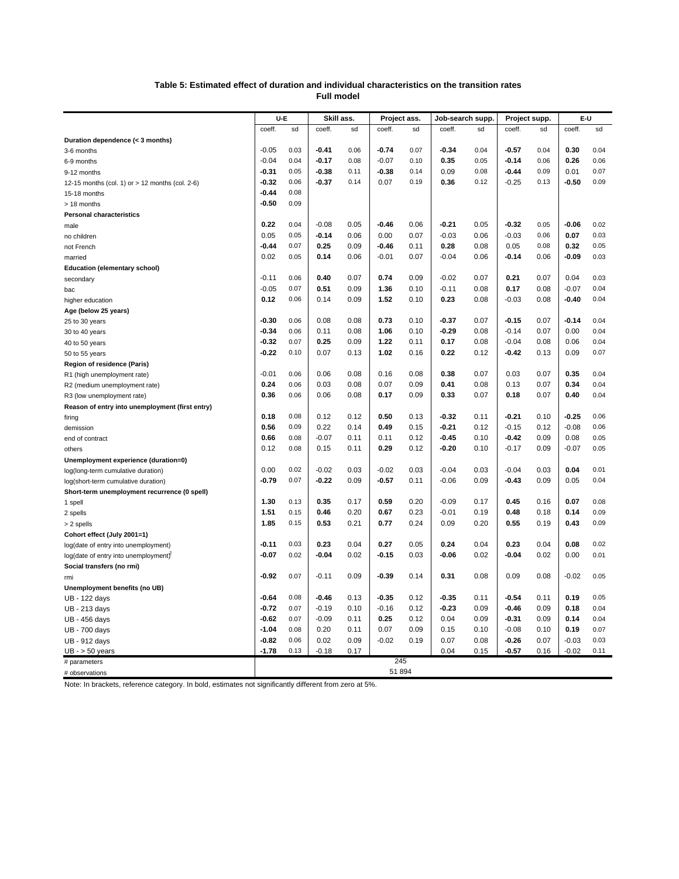#### **Table 5: Estimated effect of duration and individual characteristics on the transition rates Full model**

|                                                 | U-E<br>Skill ass. |      | Project ass. |      | Job-search supp. |      | Project supp. |      | E-U     |      |         |      |
|-------------------------------------------------|-------------------|------|--------------|------|------------------|------|---------------|------|---------|------|---------|------|
|                                                 | coeff.            | sd   | coeff.       | sd   | coeff.           | sd   | coeff.        | sd   | coeff.  | sd   | coeff.  | sd   |
| Duration dependence (< 3 months)                |                   |      |              |      |                  |      |               |      |         |      |         |      |
| 3-6 months                                      | $-0.05$           | 0.03 | $-0.41$      | 0.06 | $-0.74$          | 0.07 | $-0.34$       | 0.04 | $-0.57$ | 0.04 | 0.30    | 0.04 |
| 6-9 months                                      | $-0.04$           | 0.04 | $-0.17$      | 0.08 | $-0.07$          | 0.10 | 0.35          | 0.05 | -0.14   | 0.06 | 0.26    | 0.06 |
| 9-12 months                                     | $-0.31$           | 0.05 | $-0.38$      | 0.11 | -0.38            | 0.14 | 0.09          | 0.08 | $-0.44$ | 0.09 | 0.01    | 0.07 |
| 12-15 months (col. 1) or > 12 months (col. 2-6) | -0.32             | 0.06 | -0.37        | 0.14 | 0.07             | 0.19 | 0.36          | 0.12 | $-0.25$ | 0.13 | -0.50   | 0.09 |
| 15-18 months                                    | -0.44             | 0.08 |              |      |                  |      |               |      |         |      |         |      |
| > 18 months                                     | $-0.50$           | 0.09 |              |      |                  |      |               |      |         |      |         |      |
| <b>Personal characteristics</b>                 |                   |      |              |      |                  |      |               |      |         |      |         |      |
| male                                            | 0.22              | 0.04 | $-0.08$      | 0.05 | -0.46            | 0.06 | $-0.21$       | 0.05 | $-0.32$ | 0.05 | $-0.06$ | 0.02 |
| no children                                     | 0.05              | 0.05 | -0.14        | 0.06 | 0.00             | 0.07 | $-0.03$       | 0.06 | $-0.03$ | 0.06 | 0.07    | 0.03 |
| not French                                      | -0.44             | 0.07 | 0.25         | 0.09 | -0.46            | 0.11 | 0.28          | 0.08 | 0.05    | 0.08 | 0.32    | 0.05 |
| married                                         | 0.02              | 0.05 | 0.14         | 0.06 | $-0.01$          | 0.07 | $-0.04$       | 0.06 | $-0.14$ | 0.06 | -0.09   | 0.03 |
| <b>Education (elementary school)</b>            |                   |      |              |      |                  |      |               |      |         |      |         |      |
| secondary                                       | $-0.11$           | 0.06 | 0.40         | 0.07 | 0.74             | 0.09 | $-0.02$       | 0.07 | 0.21    | 0.07 | 0.04    | 0.03 |
| bac                                             | $-0.05$           | 0.07 | 0.51         | 0.09 | 1.36             | 0.10 | $-0.11$       | 0.08 | 0.17    | 0.08 | $-0.07$ | 0.04 |
| higher education                                | 0.12              | 0.06 | 0.14         | 0.09 | 1.52             | 0.10 | 0.23          | 0.08 | $-0.03$ | 0.08 | -0.40   | 0.04 |
| Age (below 25 years)                            |                   |      |              |      |                  |      |               |      |         |      |         |      |
| 25 to 30 years                                  | $-0.30$           | 0.06 | 0.08         | 0.08 | 0.73             | 0.10 | $-0.37$       | 0.07 | $-0.15$ | 0.07 | $-0.14$ | 0.04 |
| 30 to 40 years                                  | $-0.34$           | 0.06 | 0.11         | 0.08 | 1.06             | 0.10 | $-0.29$       | 0.08 | $-0.14$ | 0.07 | 0.00    | 0.04 |
| 40 to 50 years                                  | $-0.32$           | 0.07 | 0.25         | 0.09 | 1.22             | 0.11 | 0.17          | 0.08 | $-0.04$ | 0.08 | 0.06    | 0.04 |
| 50 to 55 years                                  | -0.22             | 0.10 | 0.07         | 0.13 | 1.02             | 0.16 | 0.22          | 0.12 | -0.42   | 0.13 | 0.09    | 0.07 |
| Region of residence (Paris)                     |                   |      |              |      |                  |      |               |      |         |      |         |      |
| R1 (high unemployment rate)                     | $-0.01$           | 0.06 | 0.06         | 0.08 | 0.16             | 0.08 | 0.38          | 0.07 | 0.03    | 0.07 | 0.35    | 0.04 |
| R2 (medium unemployment rate)                   | 0.24              | 0.06 | 0.03         | 0.08 | 0.07             | 0.09 | 0.41          | 0.08 | 0.13    | 0.07 | 0.34    | 0.04 |
| R3 (low unemployment rate)                      | 0.36              | 0.06 | 0.06         | 0.08 | 0.17             | 0.09 | 0.33          | 0.07 | 0.18    | 0.07 | 0.40    | 0.04 |
| Reason of entry into unemployment (first entry) |                   |      |              |      |                  |      |               |      |         |      |         |      |
| firing                                          | 0.18              | 0.08 | 0.12         | 0.12 | 0.50             | 0.13 | $-0.32$       | 0.11 | $-0.21$ | 0.10 | $-0.25$ | 0.06 |
| demission                                       | 0.56              | 0.09 | 0.22         | 0.14 | 0.49             | 0.15 | $-0.21$       | 0.12 | $-0.15$ | 0.12 | $-0.08$ | 0.06 |
| end of contract                                 | 0.66              | 0.08 | $-0.07$      | 0.11 | 0.11             | 0.12 | $-0.45$       | 0.10 | $-0.42$ | 0.09 | 0.08    | 0.05 |
| others                                          | 0.12              | 0.08 | 0.15         | 0.11 | 0.29             | 0.12 | $-0.20$       | 0.10 | $-0.17$ | 0.09 | $-0.07$ | 0.05 |
| Unemployment experience (duration=0)            |                   |      |              |      |                  |      |               |      |         |      |         |      |
| log(long-term cumulative duration)              | 0.00              | 0.02 | $-0.02$      | 0.03 | $-0.02$          | 0.03 | $-0.04$       | 0.03 | $-0.04$ | 0.03 | 0.04    | 0.01 |
| log(short-term cumulative duration)             | $-0.79$           | 0.07 | -0.22        | 0.09 | -0.57            | 0.11 | $-0.06$       | 0.09 | $-0.43$ | 0.09 | 0.05    | 0.04 |
| Short-term unemployment recurrence (0 spell)    |                   |      |              |      |                  |      |               |      |         |      |         |      |
| 1 spell                                         | 1.30              | 0.13 | 0.35         | 0.17 | 0.59             | 0.20 | $-0.09$       | 0.17 | 0.45    | 0.16 | 0.07    | 0.08 |
| 2 spells                                        | 1.51              | 0.15 | 0.46         | 0.20 | 0.67             | 0.23 | $-0.01$       | 0.19 | 0.48    | 0.18 | 0.14    | 0.09 |
| > 2 spells                                      | 1.85              | 0.15 | 0.53         | 0.21 | 0.77             | 0.24 | 0.09          | 0.20 | 0.55    | 0.19 | 0.43    | 0.09 |
| Cohort effect (July 2001=1)                     |                   |      |              |      |                  |      |               |      |         |      |         |      |
| log(date of entry into unemployment)            | $-0.11$           | 0.03 | 0.23         | 0.04 | 0.27             | 0.05 | 0.24          | 0.04 | 0.23    | 0.04 | 0.08    | 0.02 |
| log(date of entry into unemployment)            | $-0.07$           | 0.02 | -0.04        | 0.02 | -0.15            | 0.03 | $-0.06$       | 0.02 | $-0.04$ | 0.02 | 0.00    | 0.01 |
| Social transfers (no rmi)                       |                   |      |              |      |                  |      |               |      |         |      |         |      |
| rmi                                             | $-0.92$           | 0.07 | $-0.11$      | 0.09 | $-0.39$          | 0.14 | 0.31          | 0.08 | 0.09    | 0.08 | $-0.02$ | 0.05 |
| Unemployment benefits (no UB)                   |                   |      |              |      |                  |      |               |      |         |      |         |      |
| UB - 122 days                                   | -0.64             | 0.08 | $-0.46$      | 0.13 | -0.35            | 0.12 | $-0.35$       | 0.11 | $-0.54$ | 0.11 | 0.19    | 0.05 |
| UB - 213 days                                   | $-0.72$           | 0.07 | $-0.19$      | 0.10 | $-0.16$          | 0.12 | $-0.23$       | 0.09 | $-0.46$ | 0.09 | 0.18    | 0.04 |
| UB - 456 days                                   | -0.62             | 0.07 | $-0.09$      | 0.11 | 0.25             | 0.12 | 0.04          | 0.09 | -0.31   | 0.09 | 0.14    | 0.04 |
| <b>UB - 700 days</b>                            | $-1.04$           | 0.08 | 0.20         | 0.11 | 0.07             | 0.09 | 0.15          | 0.10 | $-0.08$ | 0.10 | 0.19    | 0.07 |
| UB - 912 days                                   | $-0.82$           | 0.06 | 0.02         | 0.09 | $-0.02$          | 0.19 | 0.07          | 0.08 | $-0.26$ | 0.07 | $-0.03$ | 0.03 |
| $UB - 50$ years                                 | $-1.78$           | 0.13 | $-0.18$      | 0.17 |                  |      | 0.04          | 0.15 | $-0.57$ | 0.16 | $-0.02$ | 0.11 |
| # parameters                                    |                   |      |              |      | 245              |      |               |      |         |      |         |      |
| # observations                                  |                   |      |              |      | 51 894           |      |               |      |         |      |         |      |

Note: In brackets, reference category. In bold, estimates not significantly different from zero at 5%.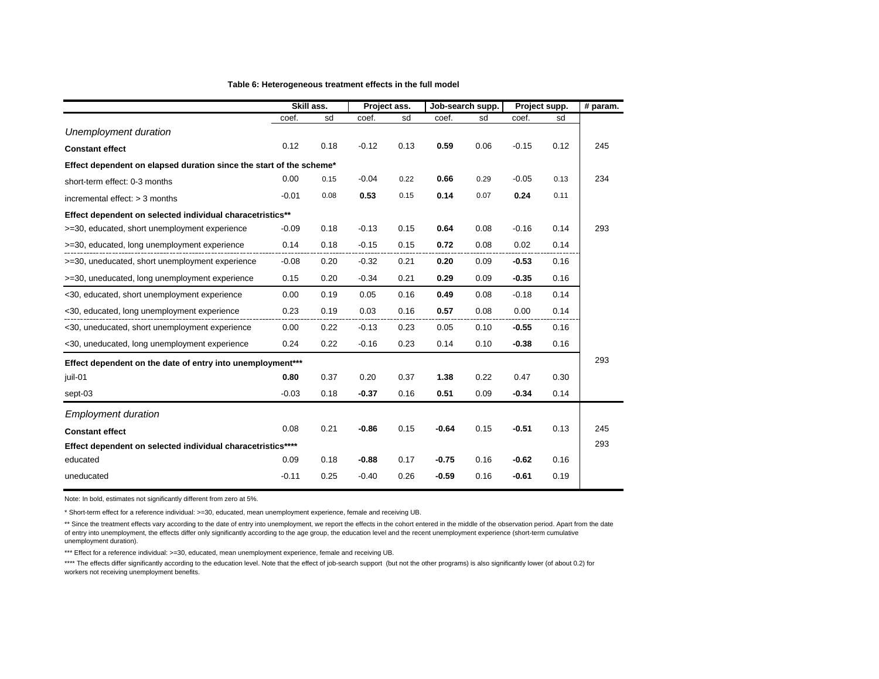|                                                                     | Skill ass.                                                 |      | Project ass. |      | Job-search supp. |      | Project supp. |      | # param. |
|---------------------------------------------------------------------|------------------------------------------------------------|------|--------------|------|------------------|------|---------------|------|----------|
|                                                                     | coef.                                                      | sd   | coef.        | sd   | coef.            | sd   | coef.         | sd   |          |
| Unemployment duration                                               |                                                            |      |              |      |                  |      |               |      |          |
| <b>Constant effect</b>                                              | 0.12                                                       | 0.18 | $-0.12$      | 0.13 | 0.59             | 0.06 | $-0.15$       | 0.12 | 245      |
| Effect dependent on elapsed duration since the start of the scheme* |                                                            |      |              |      |                  |      |               |      |          |
| short-term effect: 0-3 months                                       | 0.00                                                       | 0.15 | $-0.04$      | 0.22 | 0.66             | 0.29 | $-0.05$       | 0.13 | 234      |
| incremental effect: $>$ 3 months                                    | $-0.01$                                                    | 0.08 | 0.53         | 0.15 | 0.14             | 0.07 | 0.24          | 0.11 |          |
| Effect dependent on selected individual characetristics**           |                                                            |      |              |      |                  |      |               |      |          |
| >=30, educated, short unemployment experience                       | $-0.09$                                                    | 0.18 | $-0.13$      | 0.15 | 0.64             | 0.08 | $-0.16$       | 0.14 | 293      |
| >=30, educated, long unemployment experience                        | 0.14                                                       | 0.18 | $-0.15$      | 0.15 | 0.72             | 0.08 | 0.02          | 0.14 |          |
| >=30, uneducated, short unemployment experience                     | $-0.08$                                                    | 0.20 | $-0.32$      | 0.21 | 0.20             | 0.09 | $-0.53$       | 0.16 |          |
| >=30, uneducated, long unemployment experience                      | 0.15                                                       | 0.20 | $-0.34$      | 0.21 | 0.29             | 0.09 | $-0.35$       | 0.16 |          |
| <30, educated, short unemployment experience                        | 0.00                                                       | 0.19 | 0.05         | 0.16 | 0.49             | 0.08 | $-0.18$       | 0.14 |          |
| <30, educated, long unemployment experience                         | 0.23                                                       | 0.19 | 0.03         | 0.16 | 0.57             | 0.08 | 0.00          | 0.14 |          |
| <30, uneducated, short unemployment experience                      | 0.00                                                       | 0.22 | $-0.13$      | 0.23 | 0.05             | 0.10 | $-0.55$       | 0.16 |          |
| <30, uneducated, long unemployment experience                       | 0.24                                                       | 0.22 | $-0.16$      | 0.23 | 0.14             | 0.10 | $-0.38$       | 0.16 |          |
|                                                                     | Effect dependent on the date of entry into unemployment*** |      |              |      |                  |      |               |      | 293      |
| juil-01                                                             | 0.80                                                       | 0.37 | 0.20         | 0.37 | 1.38             | 0.22 | 0.47          | 0.30 |          |
| sept-03                                                             | $-0.03$                                                    | 0.18 | $-0.37$      | 0.16 | 0.51             | 0.09 | $-0.34$       | 0.14 |          |
| <b>Employment duration</b>                                          |                                                            |      |              |      |                  |      |               |      |          |
| <b>Constant effect</b>                                              | 0.08                                                       | 0.21 | $-0.86$      | 0.15 | $-0.64$          | 0.15 | $-0.51$       | 0.13 | 245      |
| Effect dependent on selected individual characetristics****         |                                                            |      |              |      |                  |      |               |      | 293      |
| educated                                                            | 0.09                                                       | 0.18 | $-0.88$      | 0.17 | $-0.75$          | 0.16 | $-0.62$       | 0.16 |          |
| uneducated                                                          | $-0.11$                                                    | 0.25 | $-0.40$      | 0.26 | $-0.59$          | 0.16 | $-0.61$       | 0.19 |          |

Note: In bold, estimates not significantly different from zero at 5%.

\* Short-term effect for a reference individual: >=30, educated, mean unemployment experience, female and receiving UB.

\*\* Since the treatment effects vary according to the date of entry into unemployment, we report the effects in the cohort entered in the middle of the observation period. Apart from the date of entry into unemployment, the effects differ only significantly according to the age group, the education level and the recent unemployment experience (short-term cumulative unemployment duration).

\*\*\* Effect for a reference individual: >=30, educated, mean unemployment experience, female and receiving UB.

\*\*\*\* The effects differ significantly according to the education level. Note that the effect of job-search support (but not the other programs) is also significantly lower (of about 0.2) for workers not receiving unemployment benefits.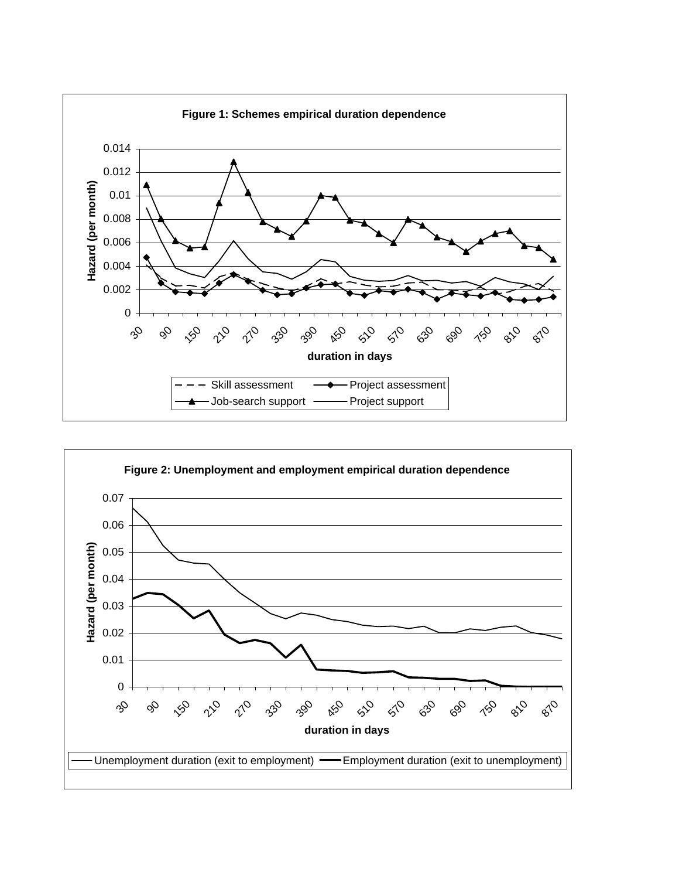

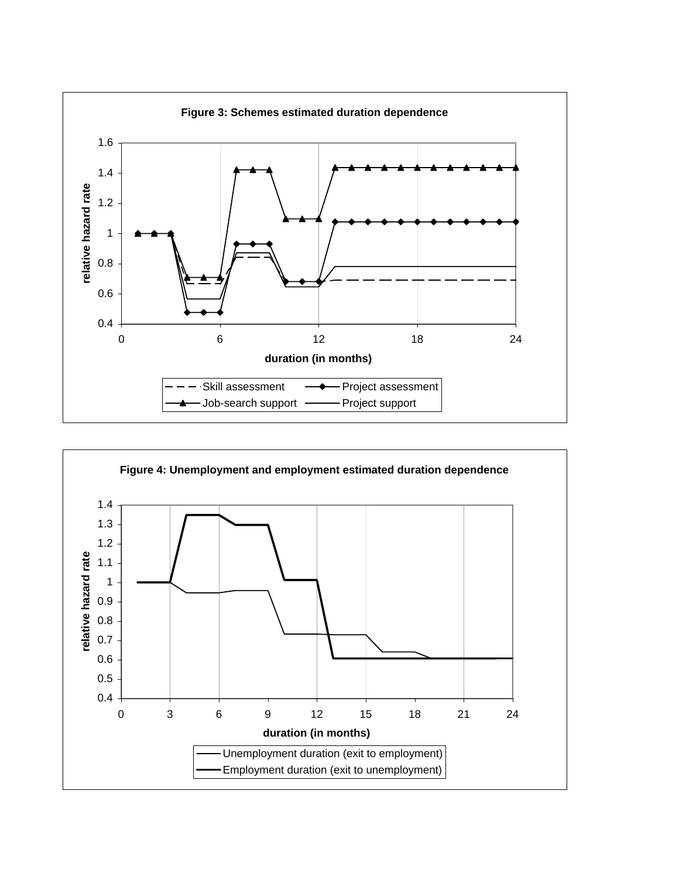

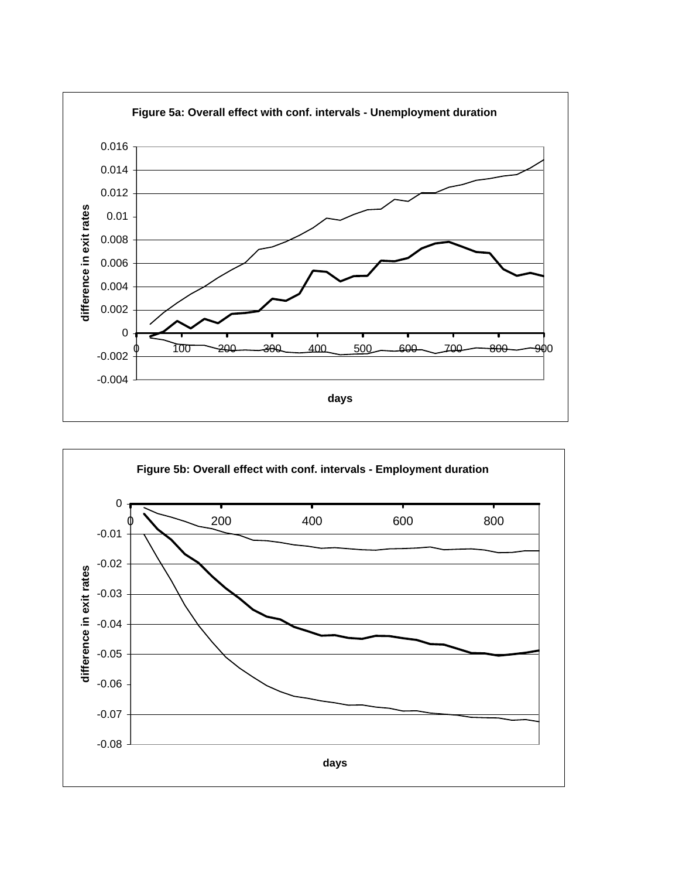

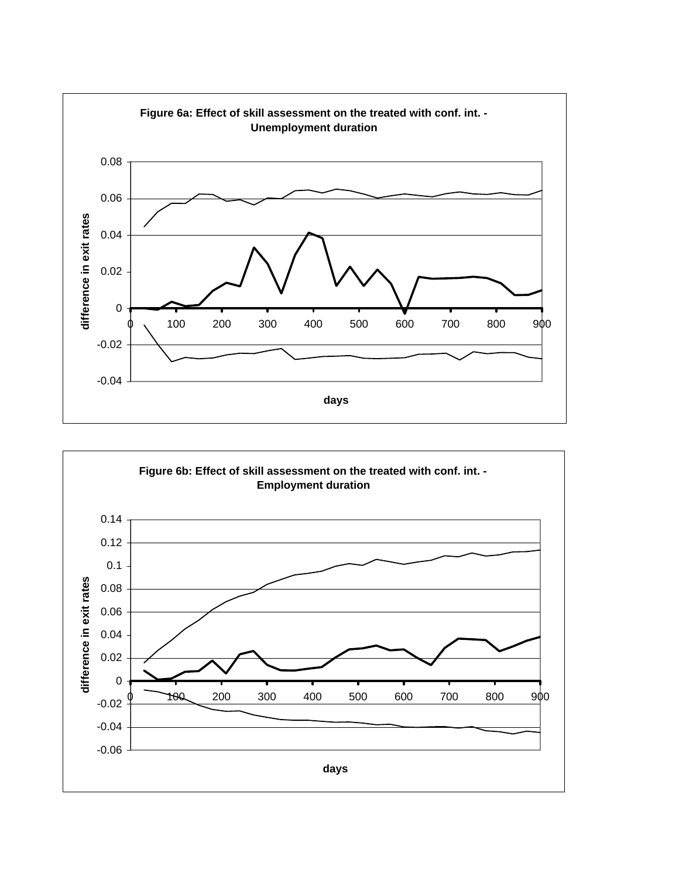

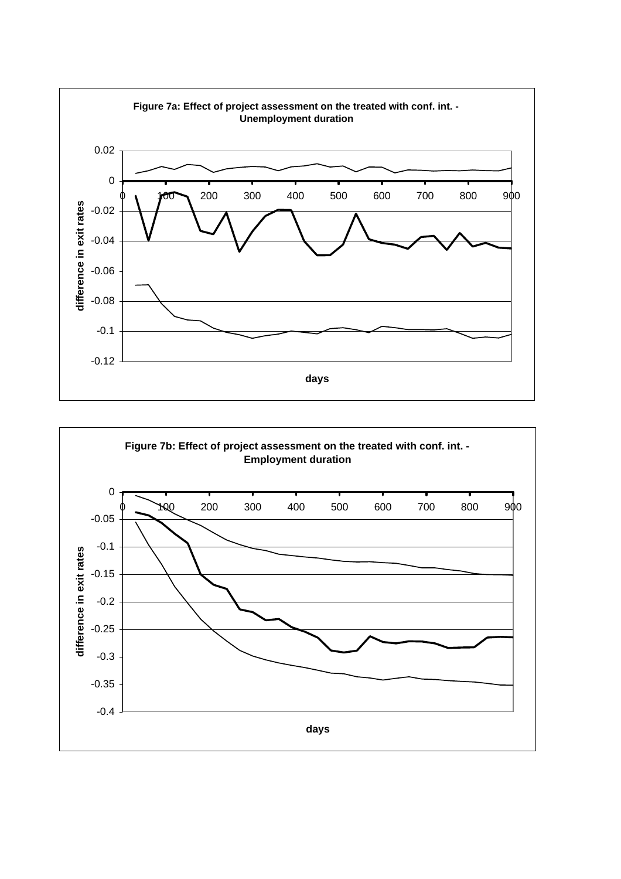

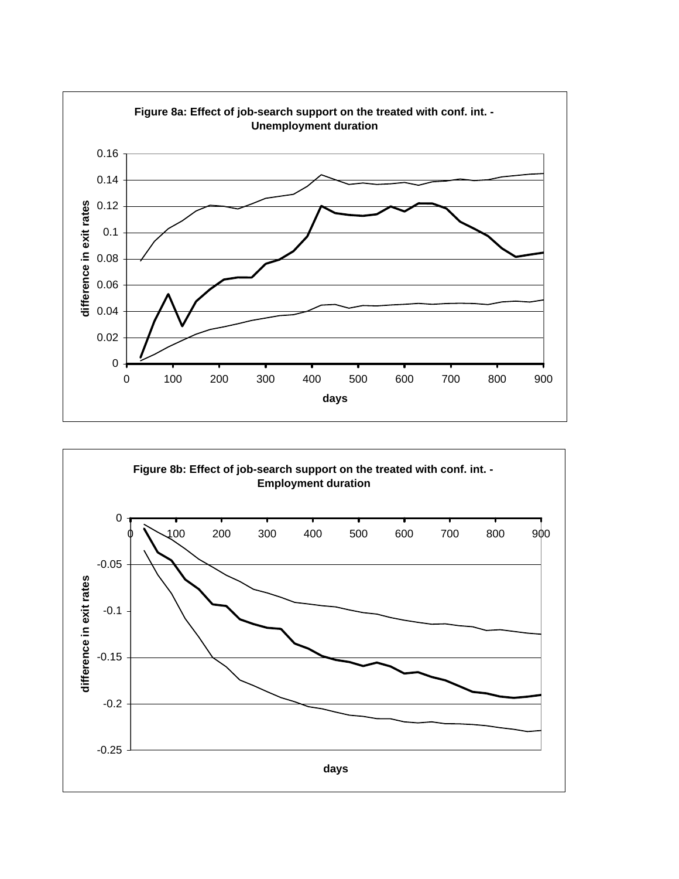

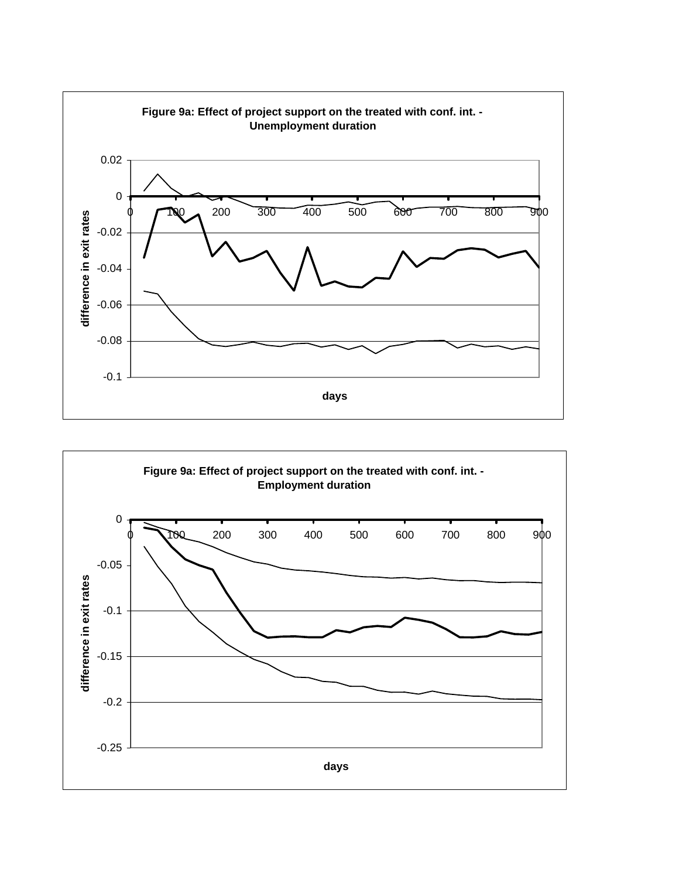

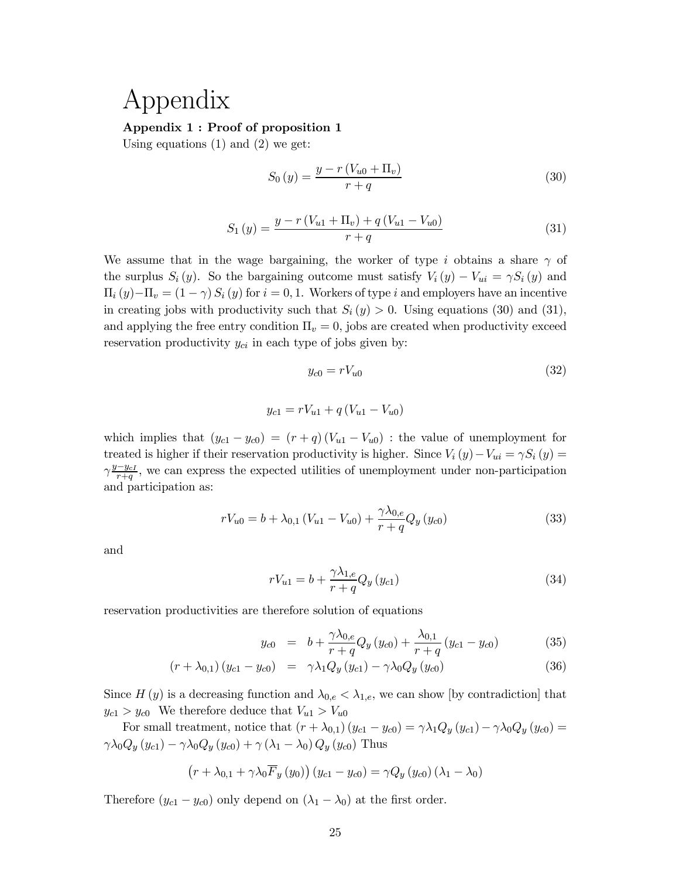# Appendix

## Appendix 1 : Proof of proposition 1

Using equations  $(1)$  and  $(2)$  we get:

$$
S_0(y) = \frac{y - r\left(V_{u0} + \Pi_v\right)}{r + q} \tag{30}
$$

$$
S_1(y) = \frac{y - r\left(V_{u1} + \Pi_v\right) + q\left(V_{u1} - V_{u0}\right)}{r + q} \tag{31}
$$

We assume that in the wage bargaining, the worker of type i obtains a share  $\gamma$  of the surplus  $S_i(y)$ . So the bargaining outcome must satisfy  $V_i(y) - V_{ui} = \gamma S_i(y)$  and  $\Pi_i(y)-\Pi_v = (1-\gamma) S_i(y)$  for  $i=0,1$ . Workers of type i and employers have an incentive in creating jobs with productivity such that  $S_i(y) > 0$ . Using equations (30) and (31), and applying the free entry condition  $\Pi_v = 0$ , jobs are created when productivity exceed reservation productivity  $y_{ci}$  in each type of jobs given by:

$$
y_{c0} = rV_{u0} \tag{32}
$$

$$
y_{c1} = rV_{u1} + q(V_{u1} - V_{u0})
$$

which implies that  $(y_{c1} - y_{c0}) = (r + q)(V_{u1} - V_{u0})$ : the value of unemployment for treated is higher if their reservation productivity is higher. Since  $V_i(y) - V_{ui} = \gamma S_i(y) =$  $\gamma \frac{y-y_{cI}}{r+a}$  $\frac{-y_{cI}}{r+q}$ , we can express the expected utilities of unemployment under non-participation and participation as:

$$
rV_{u0} = b + \lambda_{0,1} (V_{u1} - V_{u0}) + \frac{\gamma \lambda_{0,e}}{r+q} Q_y (y_{c0})
$$
\n(33)

and

$$
rV_{u1} = b + \frac{\gamma \lambda_{1,e}}{r+q} Q_y(y_{c1})
$$
\n(34)

reservation productivities are therefore solution of equations

$$
y_{c0} = b + \frac{\gamma \lambda_{0,e}}{r+q} Q_y(y_{c0}) + \frac{\lambda_{0,1}}{r+q} (y_{c1} - y_{c0})
$$
 (35)

$$
(r + \lambda_{0,1}) (y_{c1} - y_{c0}) = \gamma \lambda_1 Q_y (y_{c1}) - \gamma \lambda_0 Q_y (y_{c0})
$$
\n(36)

Since  $H(y)$  is a decreasing function and  $\lambda_{0,e} < \lambda_{1,e}$ , we can show [by contradiction] that  $y_{c1} > y_{c0}$  We therefore deduce that  $V_{u1} > V_{u0}$ 

For small treatment, notice that  $(r + \lambda_{0,1}) (y_{c1} - y_{c0}) = \gamma \lambda_1 Q_y (y_{c1}) - \gamma \lambda_0 Q_y (y_{c0}) =$  $\gamma \lambda_0 Q_y(y_{c1}) - \gamma \lambda_0 Q_y(y_{c0}) + \gamma (\lambda_1 - \lambda_0) Q_y(y_{c0})$  Thus

$$
(r + \lambda_{0,1} + \gamma \lambda_0 \overline{F}_y(y_0)) (y_{c1} - y_{c0}) = \gamma Q_y (y_{c0}) (\lambda_1 - \lambda_0)
$$

Therefore  $(y_{c1} - y_{c0})$  only depend on  $(\lambda_1 - \lambda_0)$  at the first order.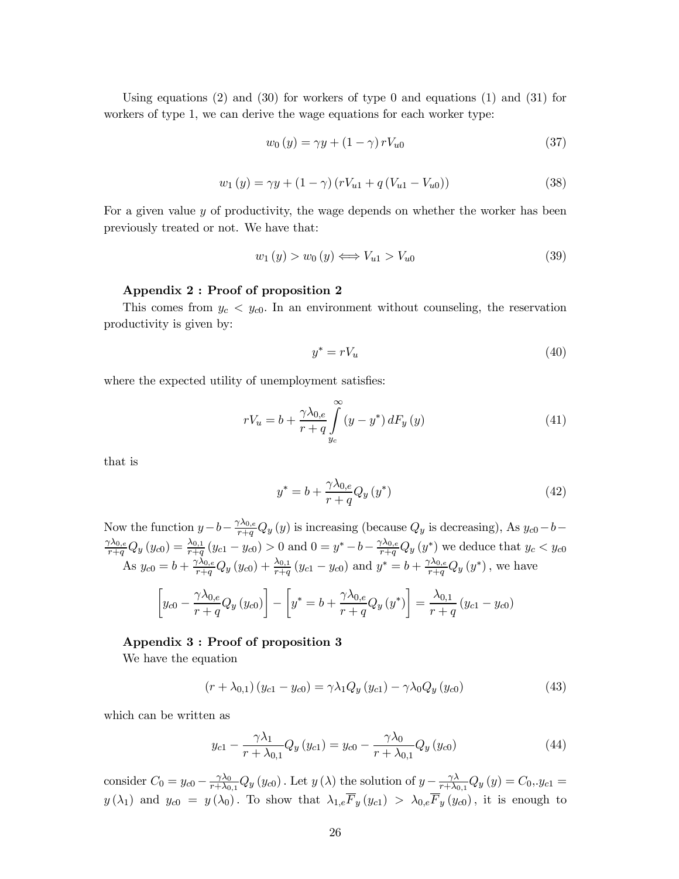Using equations  $(2)$  and  $(30)$  for workers of type 0 and equations  $(1)$  and  $(31)$  for workers of type 1, we can derive the wage equations for each worker type:

$$
w_0(y) = \gamma y + (1 - \gamma) r V_{u0} \tag{37}
$$

$$
w_1(y) = \gamma y + (1 - \gamma) (rV_{u1} + q(V_{u1} - V_{u0}))
$$
\n(38)

For a given value y of productivity, the wage depends on whether the worker has been previously treated or not. We have that:

$$
w_1(y) > w_0(y) \Longleftrightarrow V_{u1} > V_{u0} \tag{39}
$$

#### Appendix 2 : Proof of proposition 2

This comes from  $y_c < y_{c0}$ . In an environment without counseling, the reservation productivity is given by:

$$
y^* = rV_u \tag{40}
$$

where the expected utility of unemployment satisfies:

$$
rV_u = b + \frac{\gamma \lambda_{0,e}}{r+q} \int_{y_c}^{\infty} (y - y^*) dF_y(y)
$$
 (41)

that is

$$
y^* = b + \frac{\gamma \lambda_{0,e}}{r+q} Q_y(y^*)
$$
\n<sup>(42)</sup>

Now the function  $y-b-\frac{\gamma\lambda_{0,e}}{r+q}Q_y(y)$  is increasing (because  $Q_y$  is decreasing), As  $y_{c0}-b \frac{\gamma \lambda_{0,e}}{r+q} Q_y(y_{c0}) = \frac{\lambda_{0,1}}{r+q} (y_{c1} - y_{c0}) > 0$  and  $0 = y^* - b - \frac{\gamma \lambda_{0,e}}{r+q} Q_y(y^*)$  we deduce that  $y_c < y_{c0}$ As  $y_{c0} = b + \frac{\gamma \lambda_{0,e}}{r+q} Q_y (y_{c0}) + \frac{\lambda_{0,1}}{r+q} (y_{c1} - y_{c0})$  and  $y^* = b + \frac{\gamma \lambda_{0,e}}{r+q} Q_y (y^*)$ , we have  $\sqrt{ }$  $y_{c0} - \frac{\gamma \lambda_{0,e}}{n+a}$  $\frac{r \cdot v_{0,e}}{r+q} Q_y(y_{c0})$ 1 −  $\sqrt{ }$  $y^* = b + \frac{\gamma \lambda_{0,e}}{h}$  $\frac{\gamma \wedge_{0,e}}{r+q} Q_y(y^*)$ 1  $=\frac{\lambda_{0,1}}{1}$  $\frac{y_1}{r+q}(y_{c1}-y_{c0})$ 

# Appendix 3 : Proof of proposition 3

We have the equation

$$
(r + \lambda_{0,1}) (y_{c1} - y_{c0}) = \gamma \lambda_1 Q_y (y_{c1}) - \gamma \lambda_0 Q_y (y_{c0})
$$
\n(43)

which can be written as

$$
y_{c1} - \frac{\gamma \lambda_1}{r + \lambda_{0,1}} Q_y (y_{c1}) = y_{c0} - \frac{\gamma \lambda_0}{r + \lambda_{0,1}} Q_y (y_{c0})
$$
 (44)

consider  $C_0 = y_{c0} - \frac{\gamma \lambda_0}{r + \lambda_0}$  $\frac{\gamma \lambda_0}{r + \lambda_{0,1}} Q_y(y_{c0})$ . Let  $y(\lambda)$  the solution of  $y - \frac{\gamma \lambda_0}{r + \lambda_0}$  $\frac{\gamma\lambda}{r+\lambda_{0,1}}Q_{y}\left(y\right)=C_{0},y_{c1}=$  $y(\lambda_1)$  and  $y_{c0} = y(\lambda_0)$ . To show that  $\lambda_{1,e}F_y(y_{c1}) > \lambda_{0,e}F_y(y_{c0})$ , it is enough to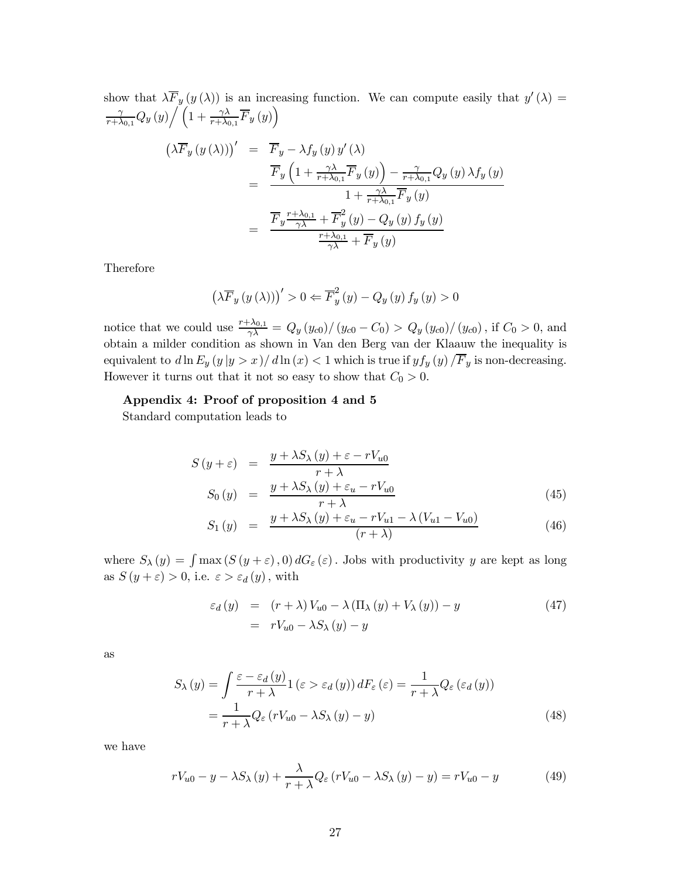show that  $\lambda \overline{F}_y(y(\lambda))$  is an increasing function. We can compute easily that  $y'(\lambda) =$ γ  $\frac{\gamma}{r+\lambda_{0,1}}Q_y(y)\bigg/\left(1+\frac{\gamma\lambda}{r+\lambda_{0,1}}\overline{F}_y(y)\right)$ 

$$
\left(\lambda \overline{F}_y(y(\lambda))\right)' = \overline{F}_y - \lambda f_y(y) y'(\lambda)
$$
  
= 
$$
\frac{\overline{F}_y\left(1 + \frac{\gamma \lambda}{r + \lambda_{0,1}} \overline{F}_y(y)\right) - \frac{\gamma}{r + \lambda_{0,1}} Q_y(y) \lambda f_y(y)}{1 + \frac{\gamma \lambda}{r + \lambda_{0,1}} \overline{F}_y(y)}
$$
  
= 
$$
\frac{\overline{F}_y \frac{r + \lambda_{0,1}}{\gamma \lambda} + \overline{F}_y^2(y) - Q_y(y) f_y(y)}{\frac{r + \lambda_{0,1}}{\gamma \lambda} + \overline{F}_y(y)}
$$

Therefore

$$
\left(\lambda \overline{F}_y(y(\lambda))\right)' > 0 \Leftarrow \overline{F}_y^2(y) - Q_y(y) f_y(y) > 0
$$

notice that we could use  $\frac{r+\lambda_{0,1}}{\gamma\lambda} = Q_y(y_{c0})/(y_{c0} - C_0) > Q_y(y_{c0})/(y_{c0})$ , if  $C_0 > 0$ , and obtain a milder condition as shown in Van den Berg van der Klaauw the inequality is equivalent to  $d \ln E_y(y |y > x) / d \ln(x) < 1$  which is true if  $y f_y(y) / \overline{F}_y$  is non-decreasing. However it turns out that it not so easy to show that  $C_0 > 0$ .

## Appendix 4: Proof of proposition 4 and 5

Standard computation leads to

$$
S(y+\varepsilon) = \frac{y + \lambda S_{\lambda}(y) + \varepsilon - rV_{u0}}{r + \lambda}
$$
  
\n
$$
S_0(y) = \frac{y + \lambda S_{\lambda}(y) + \varepsilon_u - rV_{u0}}{r + \lambda}
$$
\n(45)

$$
S_1(y) = \frac{y + \lambda S_{\lambda}(y) + \varepsilon_u - rV_{u1} - \lambda (V_{u1} - V_{u0})}{(r + \lambda)}
$$
(46)

where  $S_{\lambda}(y) = \int \max(S(y+\varepsilon),0) dG_{\varepsilon}(\varepsilon)$ . Jobs with productivity y are kept as long as  $S(y+\varepsilon) > 0$ , i.e.  $\varepsilon > \varepsilon_d(y)$ , with

$$
\varepsilon_d(y) = (r + \lambda) V_{u0} - \lambda (\Pi_\lambda(y) + V_\lambda(y)) - y
$$
  
=  $rV_{u0} - \lambda S_\lambda(y) - y$  (47)

as

$$
S_{\lambda}(y) = \int \frac{\varepsilon - \varepsilon_{d}(y)}{r + \lambda} 1(\varepsilon > \varepsilon_{d}(y)) dF_{\varepsilon}(\varepsilon) = \frac{1}{r + \lambda} Q_{\varepsilon}(\varepsilon_{d}(y))
$$
  
= 
$$
\frac{1}{r + \lambda} Q_{\varepsilon}(rV_{u0} - \lambda S_{\lambda}(y) - y)
$$
 (48)

we have

$$
rV_{u0} - y - \lambda S_{\lambda}(y) + \frac{\lambda}{r + \lambda} Q_{\varepsilon}(rV_{u0} - \lambda S_{\lambda}(y) - y) = rV_{u0} - y \tag{49}
$$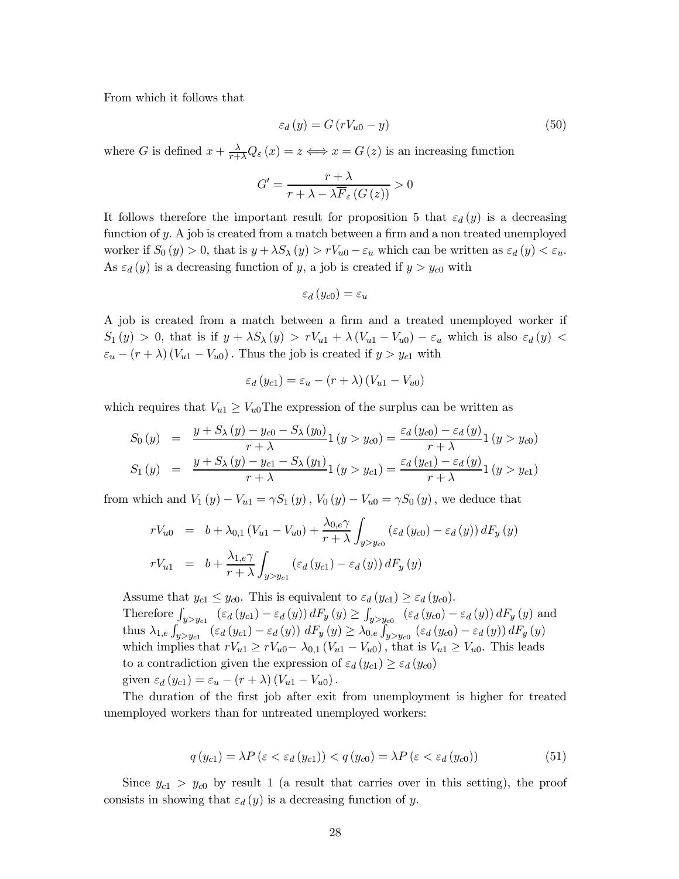From which it follows that

$$
\varepsilon_d(y) = G(rV_{u0} - y) \tag{50}
$$

where G is defined  $x + \frac{\lambda}{r+\lambda}Q_{\varepsilon}(x) = z \iff x = G(z)$  is an increasing function

$$
G' = \frac{r + \lambda}{r + \lambda - \lambda \overline{F}_{\varepsilon} \left( G \left( z \right) \right)} > 0
$$

It follows therefore the important result for proposition 5 that  $\varepsilon_d(y)$  is a decreasing function of y. A job is created from a match between a firm and a non treated unemployed worker if  $S_0(y) > 0$ , that is  $y + \lambda S_\lambda(y) > rV_{u0} - \varepsilon_u$  which can be written as  $\varepsilon_d(y) < \varepsilon_u$ . As  $\varepsilon_d(y)$  is a decreasing function of y, a job is created if  $y > y_{c0}$  with

$$
\varepsilon_d(y_{c0}) = \varepsilon_u
$$

A job is created from a match between a firm and a treated unemployed worker if  $S_1(y) > 0$ , that is if  $y + \lambda S_\lambda(y) > rV_{u1} + \lambda (V_{u1} - V_{u0}) - \varepsilon_u$  which is also  $\varepsilon_d(y)$  <  $\varepsilon_u - (r + \lambda) (V_{u1} - V_{u0})$ . Thus the job is created if  $y > y_{c1}$  with

$$
\varepsilon_d(y_{c1}) = \varepsilon_u - (r + \lambda)(V_{u1} - V_{u0})
$$

which requires that  $V_{u1} \geq V_{u0}$ The expression of the surplus can be written as

$$
S_0(y) = \frac{y + S_{\lambda}(y) - y_{c0} - S_{\lambda}(y_0)}{r + \lambda} 1 (y > y_{c0}) = \frac{\varepsilon_d(y_{c0}) - \varepsilon_d(y)}{r + \lambda} 1 (y > y_{c0})
$$
  
\n
$$
S_1(y) = \frac{y + S_{\lambda}(y) - y_{c1} - S_{\lambda}(y_1)}{r + \lambda} 1 (y > y_{c1}) = \frac{\varepsilon_d(y_{c1}) - \varepsilon_d(y)}{r + \lambda} 1 (y > y_{c1})
$$

from which and  $V_1(y) - V_{u1} = \gamma S_1(y)$ ,  $V_0(y) - V_{u0} = \gamma S_0(y)$ , we deduce that

$$
rV_{u0} = b + \lambda_{0,1} (V_{u1} - V_{u0}) + \frac{\lambda_{0,e}\gamma}{r + \lambda} \int_{y>y_{u0}} (\varepsilon_d (y_{c0}) - \varepsilon_d (y)) dF_y (y)
$$
  

$$
rV_{u1} = b + \frac{\lambda_{1,e}\gamma}{r + \lambda} \int_{y>y_{u1}} (\varepsilon_d (y_{c1}) - \varepsilon_d (y)) dF_y (y)
$$

Assume that  $y_{c1} \leq y_{c0}$ . This is equivalent to  $\varepsilon_d(y_{c1}) \geq \varepsilon_d(y_{c0})$ . Therefore  $\int_{y>y_{c1}} (\varepsilon_d (y_{c1}) - \varepsilon_d (y)) dF_y(y) \ge \int_{y>y_{c0}} (\varepsilon_d (y_{c0}) - \varepsilon_d (y)) dF_y(y)$  and thus  $\lambda_{1,e} \int_{y>y_c}$   $(\varepsilon_d (y_{c1}) - \varepsilon_d (y)) dF_y (y) \ge \lambda_{0,e}$   $\int_{y>y_{c0}} (\varepsilon_d (y_{c0}) - \varepsilon_d (y)) dF_y (y)$ which implies that  $rV_{u1} \geq rV_{u0} - \lambda_{0,1} (V_{u1} - V_{u0})$ , that is  $V_{u1} \geq V_{u0}$ . This leads to a contradiction given the expression of  $\varepsilon_d (y_{c1}) \geq \varepsilon_d (y_{c0})$ given  $\varepsilon_d (y_{c1}) = \varepsilon_u - (r + \lambda) (V_{u1} - V_{u0}).$ 

The duration of the first job after exit from unemployment is higher for treated unemployed workers than for untreated unemployed workers:

$$
q(y_{c1}) = \lambda P \left( \varepsilon < \varepsilon_d \left( y_{c1} \right) \right) < q \left( y_{c0} \right) = \lambda P \left( \varepsilon < \varepsilon_d \left( y_{c0} \right) \right) \tag{51}
$$

Since  $y_{c1} > y_{c0}$  by result 1 (a result that carries over in this setting), the proof consists in showing that  $\varepsilon_d(y)$  is a decreasing function of y.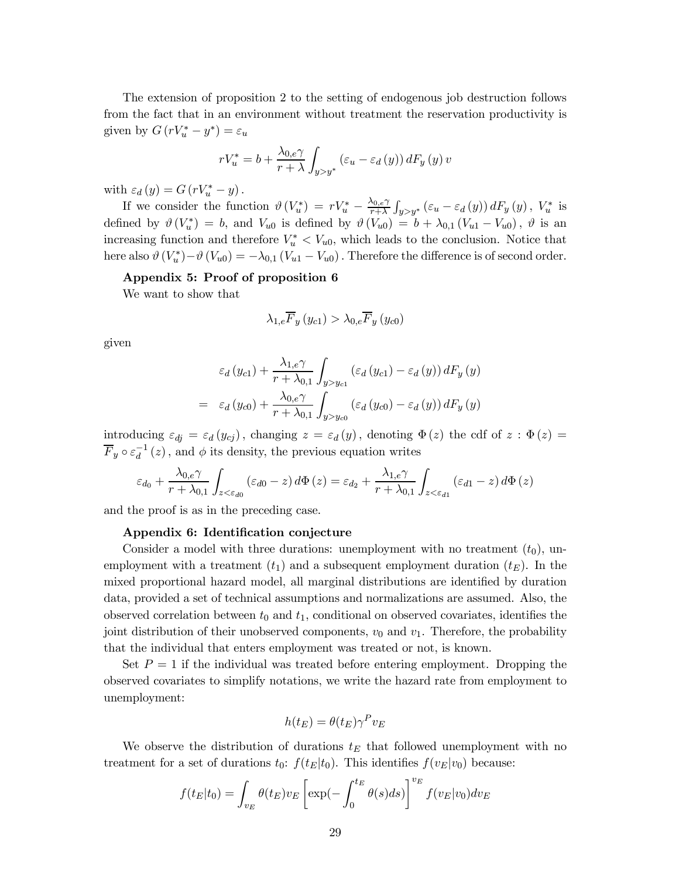The extension of proposition 2 to the setting of endogenous job destruction follows from the fact that in an environment without treatment the reservation productivity is given by  $G(rV_u^* - y^*) = \varepsilon_u$ 

$$
rV_u^* = b + \frac{\lambda_{0,e}\gamma}{r+\lambda} \int_{y>y^*} \left(\varepsilon_u - \varepsilon_d\left(y\right)\right) dF_y\left(y\right)v
$$

with  $\varepsilon_d(y) = G(rV_u^* - y)$ .

If we consider the function  $\vartheta(V_u^*) = rV_u^* - \frac{\lambda_{0,\epsilon}\gamma}{r+\lambda}$  $\frac{\lambda_{0,e}\gamma}{r+\lambda} \int_{y>y^*} \left( \varepsilon_u - \varepsilon_d \left( y \right) \right) dF_y \left( y \right), V_u^*$  is defined by  $\vartheta(V_u^*) = b$ , and  $V_{u0}$  is defined by  $\vartheta(V_{u0}) = b + \lambda_{0,1} (V_{u1} - V_{u0})$ ,  $\vartheta$  is an increasing function and therefore  $V_u^* < V_{u0}$ , which leads to the conclusion. Notice that here also  $\vartheta(V_u^*) - \vartheta(V_{u0}) = -\lambda_{0,1} (V_{u1} - V_{u0})$ . Therefore the difference is of second order.

## Appendix 5: Proof of proposition 6

We want to show that

$$
\lambda_{1,e}\overline{F}_{y}\left(y_{c1}\right) > \lambda_{0,e}\overline{F}_{y}\left(y_{c0}\right)
$$

given

$$
\varepsilon_{d}(y_{c1}) + \frac{\lambda_{1,e}\gamma}{r + \lambda_{0,1}} \int_{y>y_{c1}} (\varepsilon_{d}(y_{c1}) - \varepsilon_{d}(y)) dF_{y}(y)
$$

$$
= \varepsilon_{d}(y_{c0}) + \frac{\lambda_{0,e}\gamma}{r + \lambda_{0,1}} \int_{y>y_{c0}} (\varepsilon_{d}(y_{c0}) - \varepsilon_{d}(y)) dF_{y}(y)
$$

introducing  $\varepsilon_{dj} = \varepsilon_d(y_{cj})$ , changing  $z = \varepsilon_d(y)$ , denoting  $\Phi(z)$  the cdf of  $z : \Phi(z) =$  $\overline{F}_y \circ \varepsilon_d^{-1}$  $\frac{d}{d}$  (*z*), and  $\phi$  its density, the previous equation writes

$$
\varepsilon_{d_0} + \frac{\lambda_{0,e}\gamma}{r + \lambda_{0,1}} \int_{z < \varepsilon_{d0}} (\varepsilon_{d0} - z) d\Phi(z) = \varepsilon_{d_2} + \frac{\lambda_{1,e}\gamma}{r + \lambda_{0,1}} \int_{z < \varepsilon_{d1}} (\varepsilon_{d1} - z) d\Phi(z)
$$

and the proof is as in the preceding case.

#### Appendix 6: Identification conjecture

Consider a model with three durations: unemployment with no treatment  $(t_0)$ , unemployment with a treatment  $(t_1)$  and a subsequent employment duration  $(t_E)$ . In the mixed proportional hazard model, all marginal distributions are identified by duration data, provided a set of technical assumptions and normalizations are assumed. Also, the observed correlation between  $t_0$  and  $t_1$ , conditional on observed covariates, identifies the joint distribution of their unobserved components,  $v_0$  and  $v_1$ . Therefore, the probability that the individual that enters employment was treated or not, is known.

Set  $P = 1$  if the individual was treated before entering employment. Dropping the observed covariates to simplify notations, we write the hazard rate from employment to unemployment:

$$
h(t_E) = \theta(t_E) \gamma^P v_E
$$

We observe the distribution of durations  $t_E$  that followed unemployment with no treatment for a set of durations  $t_0$ :  $f(t_E|t_0)$ . This identifies  $f(v_E|v_0)$  because:

$$
f(t_E|t_0) = \int_{v_E} \theta(t_E) v_E \left[ \exp(-\int_0^{t_E} \theta(s) ds) \right]^{v_E} f(v_E|v_0) dv_E
$$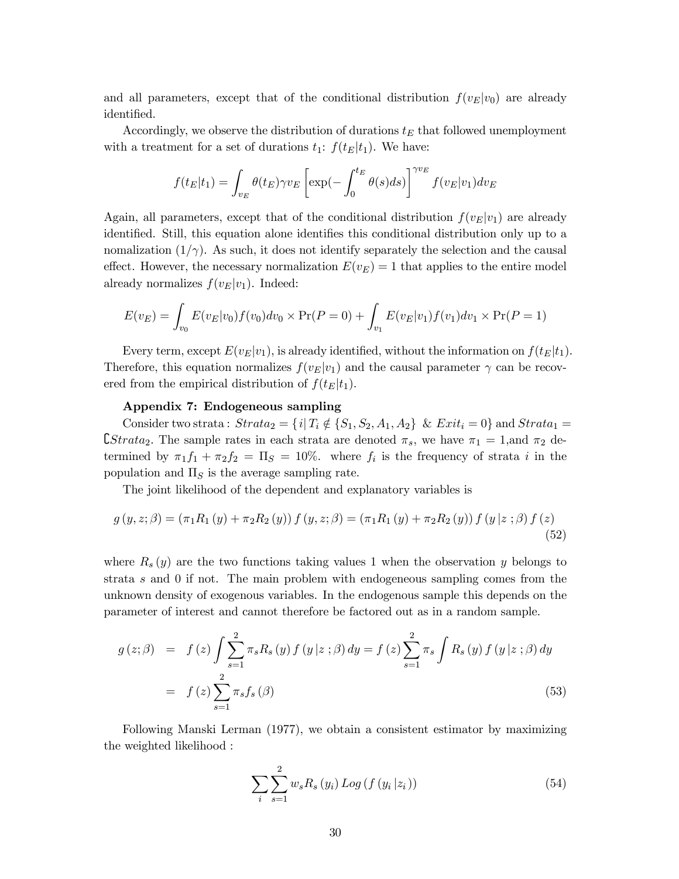and all parameters, except that of the conditional distribution  $f(v_E|v_0)$  are already identified.

Accordingly, we observe the distribution of durations  $t_E$  that followed unemployment with a treatment for a set of durations  $t_1$ :  $f(t_E|t_1)$ . We have:

$$
f(t_E|t_1) = \int_{v_E} \theta(t_E) \gamma v_E \left[ \exp(-\int_0^{t_E} \theta(s) ds) \right]^{\gamma v_E} f(v_E|v_1) dv_E
$$

Again, all parameters, except that of the conditional distribution  $f(v_E|v_1)$  are already identified. Still, this equation alone identifies this conditional distribution only up to a nomalization  $(1/\gamma)$ . As such, it does not identify separately the selection and the causal effect. However, the necessary normalization  $E(v_E) = 1$  that applies to the entire model already normalizes  $f(v_E|v_1)$ . Indeed:

$$
E(v_E) = \int_{v_0} E(v_E|v_0) f(v_0) dv_0 \times \Pr(P = 0) + \int_{v_1} E(v_E|v_1) f(v_1) dv_1 \times \Pr(P = 1)
$$

Every term, except  $E(v_E|v_1)$ , is already identified, without the information on  $f(t_E|t_1)$ . Therefore, this equation normalizes  $f(v_E|v_1)$  and the causal parameter  $\gamma$  can be recovered from the empirical distribution of  $f(t_E|t_1)$ .

#### Appendix 7: Endogeneous sampling

Consider two strata:  $Strata_2 = \{i | T_i \notin \{S_1, S_2, A_1, A_2\} \& Ext_i = 0\}$  and  $Strata_1 =$ **C**Strata<sub>2</sub>. The sample rates in each strata are denoted  $\pi_s$ , we have  $\pi_1 = 1$ , and  $\pi_2$  determined by  $\pi_1 f_1 + \pi_2 f_2 = \Pi_S = 10\%$ . where  $f_i$  is the frequency of strata i in the population and  $\Pi<sub>S</sub>$  is the average sampling rate.

The joint likelihood of the dependent and explanatory variables is

$$
g(y, z; \beta) = (\pi_1 R_1(y) + \pi_2 R_2(y)) f(y, z; \beta) = (\pi_1 R_1(y) + \pi_2 R_2(y)) f(y | z; \beta) f(z)
$$
\n(52)

where  $R_s(y)$  are the two functions taking values 1 when the observation y belongs to strata s and 0 if not. The main problem with endogeneous sampling comes from the unknown density of exogenous variables. In the endogenous sample this depends on the parameter of interest and cannot therefore be factored out as in a random sample.

$$
g(z; \beta) = f(z) \int \sum_{s=1}^{2} \pi_{s} R_{s}(y) f(y|z; \beta) dy = f(z) \sum_{s=1}^{2} \pi_{s} \int R_{s}(y) f(y|z; \beta) dy
$$
  
=  $f(z) \sum_{s=1}^{2} \pi_{s} f_{s}(\beta)$  (53)

Following Manski Lerman (1977), we obtain a consistent estimator by maximizing the weighted likelihood :

$$
\sum_{i} \sum_{s=1}^{2} w_{s} R_{s} (y_{i}) Log (f (y_{i} | z_{i})) \qquad (54)
$$